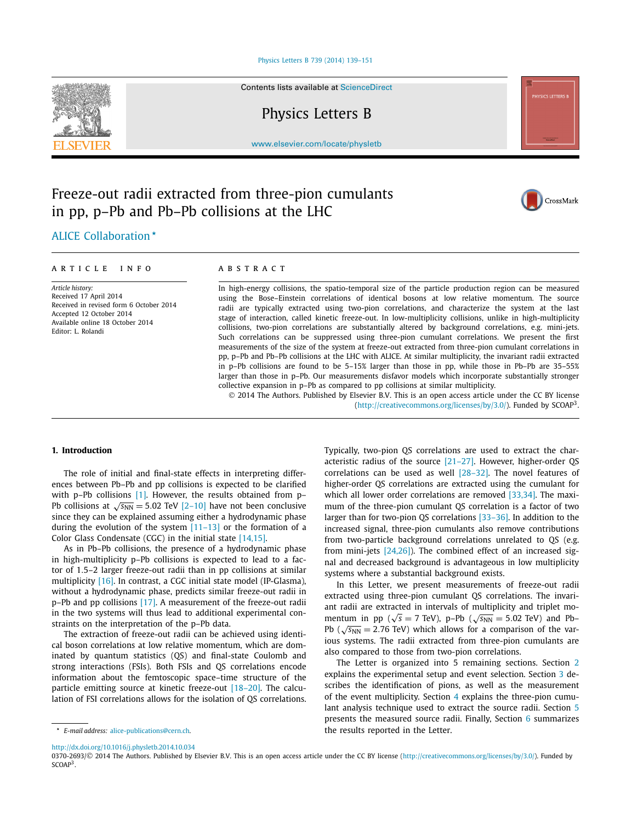#### [Physics Letters B 739 \(2014\) 139–151](http://dx.doi.org/10.1016/j.physletb.2014.10.034)



Physics Letters B

[www.elsevier.com/locate/physletb](http://www.elsevier.com/locate/physletb)

# Freeze-out radii extracted from three-pion cumulants in pp, p–Pb and Pb–Pb collisions at the LHC



## .ALICE [Collaboration](#page-8-0) *-*

#### A R T I C L E I N F O A B S T R A C T

*Article history:* Received 17 April 2014 Received in revised form 6 October 2014 Accepted 12 October 2014 Available online 18 October 2014 Editor: L. Rolandi

In high-energy collisions, the spatio-temporal size of the particle production region can be measured using the Bose–Einstein correlations of identical bosons at low relative momentum. The source radii are typically extracted using two-pion correlations, and characterize the system at the last stage of interaction, called kinetic freeze-out. In low-multiplicity collisions, unlike in high-multiplicity collisions, two-pion correlations are substantially altered by background correlations, e.g. mini-jets. Such correlations can be suppressed using three-pion cumulant correlations. We present the first measurements of the size of the system at freeze-out extracted from three-pion cumulant correlations in pp, p–Pb and Pb–Pb collisions at the LHC with ALICE. At similar multiplicity, the invariant radii extracted in p–Pb collisions are found to be 5–15% larger than those in pp, while those in Pb–Pb are 35–55% larger than those in p–Pb. Our measurements disfavor models which incorporate substantially stronger collective expansion in p–Pb as compared to pp collisions at similar multiplicity.

© 2014 The Authors. Published by Elsevier B.V. This is an open access article under the CC BY license [\(http://creativecommons.org/licenses/by/3.0/\)](http://creativecommons.org/licenses/by/3.0/). Funded by  $SCOAP<sup>3</sup>$ .

#### **1. Introduction**

The role of initial and final-state effects in interpreting differences between Pb–Pb and pp collisions is expected to be clarified with p-Pb collisions  $[1]$ . However, the results obtained from p-Pb collisions at  $\sqrt{s_{NN}}$  = 5.02 TeV [\[2–10\]](#page-7-0) have not been conclusive since they can be explained assuming either a hydrodynamic phase during the evolution of the system  $[11-13]$  or the formation of a Color Glass Condensate (CGC) in the initial state [\[14,15\].](#page-7-0)

As in Pb–Pb collisions, the presence of a hydrodynamic phase in high-multiplicity p–Pb collisions is expected to lead to a factor of 1*.*5–2 larger freeze-out radii than in pp collisions at similar multiplicity [\[16\].](#page-7-0) In contrast, a CGC initial state model (IP-Glasma), without a hydrodynamic phase, predicts similar freeze-out radii in p–Pb and pp collisions [\[17\].](#page-7-0) A measurement of the freeze-out radii in the two systems will thus lead to additional experimental constraints on the interpretation of the p–Pb data.

The extraction of freeze-out radii can be achieved using identical boson correlations at low relative momentum, which are dominated by quantum statistics (QS) and final-state Coulomb and strong interactions (FSIs). Both FSIs and QS correlations encode information about the femtoscopic space–time structure of the particle emitting source at kinetic freeze-out [\[18–20\].](#page-7-0) The calculation of FSI correlations allows for the isolation of QS correlations. Typically, two-pion QS correlations are used to extract the characteristic radius of the source [\[21–27\].](#page-7-0) However, higher-order QS correlations can be used as well [\[28–32\].](#page-7-0) The novel features of higher-order QS correlations are extracted using the cumulant for which all lower order correlations are removed [\[33,34\].](#page-7-0) The maximum of the three-pion cumulant QS correlation is a factor of two larger than for two-pion QS correlations [\[33–36\].](#page-7-0) In addition to the increased signal, three-pion cumulants also remove contributions from two-particle background correlations unrelated to QS (e.g. from mini-jets [\[24,26\]\)](#page-7-0). The combined effect of an increased signal and decreased background is advantageous in low multiplicity systems where a substantial background exists.

In this Letter, we present measurements of freeze-out radii extracted using three-pion cumulant QS correlations. The invariant radii are extracted in intervals of multiplicity and triplet momentum in pp ( $\sqrt{s}$  = 7 TeV), p–Pb ( $\sqrt{s_{NN}}$  = 5.02 TeV) and Pb– Pb ( $\sqrt{s_{NN}}$  = 2.76 TeV) which allows for a comparison of the various systems. The radii extracted from three-pion cumulants are also compared to those from two-pion correlations.

The Letter is organized into 5 remaining sections. Section [2](#page-1-0) explains the experimental setup and event selection. Section [3](#page-1-0) describes the identification of pions, as well as the measurement of the event multiplicity. Section [4](#page-1-0) explains the three-pion cumulant analysis technique used to extract the source radii. Section [5](#page-3-0) presents the measured source radii. Finally, Section [6](#page-6-0) summarizes the results reported in the Letter.

0370-2693/© 2014 The Authors. Published by Elsevier B.V. This is an open access article under the CC BY license [\(http://creativecommons.org/licenses/by/3.0/\)](http://creativecommons.org/licenses/by/3.0/). Funded by SCOAP<sup>3</sup>.



*<sup>-</sup> E-mail address:* [alice-publications@cern.ch](mailto:alice-publications@cern.ch).

<http://dx.doi.org/10.1016/j.physletb.2014.10.034>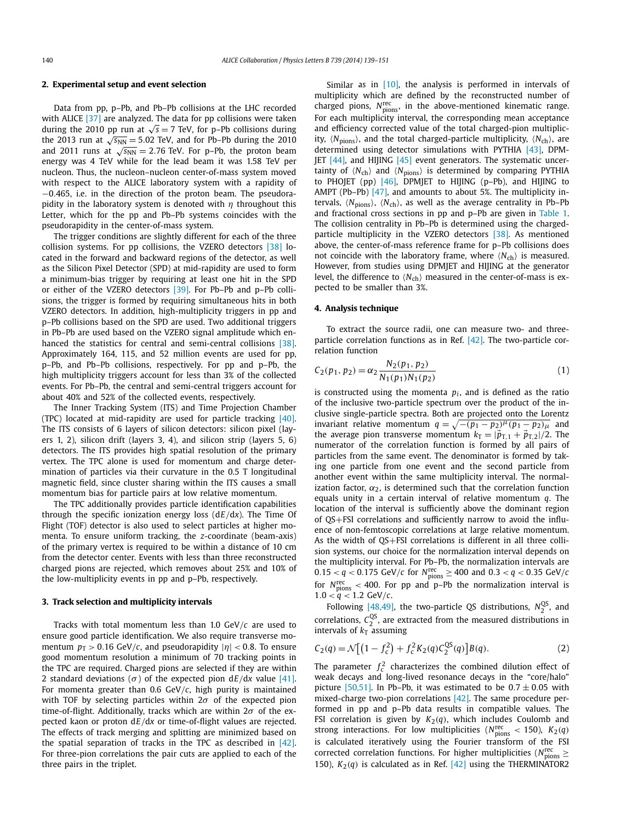#### <span id="page-1-0"></span>**2. Experimental setup and event selection**

Data from pp, p–Pb, and Pb–Pb collisions at the LHC recorded with ALICE [\[37\]](#page-7-0) are analyzed. The data for pp collisions were taken during the 2010 pp run at  $\sqrt{s}$  = 7 TeV, for p–Pb collisions during the 2013 run at  $\sqrt{s_{NN}}$  = 5.02 TeV, and for Pb–Pb during the 2010 and 2011 runs at  $\sqrt{s_{NN}} = 2.76$  TeV. For p–Pb, the proton beam energy was 4 TeV while for the lead beam it was 1.58 TeV per nucleon. Thus, the nucleon–nucleon center-of-mass system moved with respect to the ALICE laboratory system with a rapidity of −0*.*465, i.e. in the direction of the proton beam. The pseudorapidity in the laboratory system is denoted with *η* throughout this Letter, which for the pp and Pb–Pb systems coincides with the pseudorapidity in the center-of-mass system.

The trigger conditions are slightly different for each of the three collision systems. For pp collisions, the VZERO detectors [\[38\]](#page-7-0) located in the forward and backward regions of the detector, as well as the Silicon Pixel Detector (SPD) at mid-rapidity are used to form a minimum-bias trigger by requiring at least one hit in the SPD or either of the VZERO detectors [\[39\].](#page-7-0) For Pb–Pb and p–Pb collisions, the trigger is formed by requiring simultaneous hits in both VZERO detectors. In addition, high-multiplicity triggers in pp and p–Pb collisions based on the SPD are used. Two additional triggers in Pb–Pb are used based on the VZERO signal amplitude which enhanced the statistics for central and semi-central collisions [\[38\].](#page-7-0) Approximately 164, 115, and 52 million events are used for pp, p–Pb, and Pb–Pb collisions, respectively. For pp and p–Pb, the high multiplicity triggers account for less than 3% of the collected events. For Pb–Pb, the central and semi-central triggers account for about 40% and 52% of the collected events, respectively.

The Inner Tracking System (ITS) and Time Projection Chamber (TPC) located at mid-rapidity are used for particle tracking [\[40\].](#page-7-0) The ITS consists of 6 layers of silicon detectors: silicon pixel (layers 1, 2), silicon drift (layers 3, 4), and silicon strip (layers 5, 6) detectors. The ITS provides high spatial resolution of the primary vertex. The TPC alone is used for momentum and charge determination of particles via their curvature in the 0.5 T longitudinal magnetic field, since cluster sharing within the ITS causes a small momentum bias for particle pairs at low relative momentum.

The TPC additionally provides particle identification capabilities through the specific ionization energy loss (d*E/*d*x*). The Time Of Flight (TOF) detector is also used to select particles at higher momenta. To ensure uniform tracking, the *z*-coordinate (beam-axis) of the primary vertex is required to be within a distance of 10 cm from the detector center. Events with less than three reconstructed charged pions are rejected, which removes about 25% and 10% of the low-multiplicity events in pp and p–Pb, respectively.

### **3. Track selection and multiplicity intervals**

Tracks with total momentum less than 1.0 GeV*/c* are used to ensure good particle identification. We also require transverse momentum  $p_T > 0.16$  GeV/*c*, and pseudorapidity  $|\eta| < 0.8$ . To ensure good momentum resolution a minimum of 70 tracking points in the TPC are required. Charged pions are selected if they are within 2 standard deviations ( $\sigma$ ) of the expected pion d*E*/dx value [\[41\].](#page-7-0) For momenta greater than 0.6 GeV*/c*, high purity is maintained with TOF by selecting particles within 2*σ* of the expected pion time-of-flight. Additionally, tracks which are within 2*σ* of the expected kaon or proton d*E/*d*x* or time-of-flight values are rejected. The effects of track merging and splitting are minimized based on the spatial separation of tracks in the TPC as described in [\[42\].](#page-7-0) For three-pion correlations the pair cuts are applied to each of the three pairs in the triplet.

Similar as in [\[10\],](#page-7-0) the analysis is performed in intervals of multiplicity which are defined by the reconstructed number of charged pions, N<sup>rec</sup><sub>pions</sub>, in the above-mentioned kinematic range. For each multiplicity interval, the corresponding mean acceptance and efficiency corrected value of the total charged-pion multiplicity,  $\langle N_{\text{pions}} \rangle$ , and the total charged-particle multiplicity,  $\langle N_{\text{ch}} \rangle$ , are determined using detector simulations with PYTHIA [\[43\],](#page-7-0) DPM-JET [\[44\],](#page-7-0) and HIJING [\[45\]](#page-7-0) event generators. The systematic uncertainty of  $\langle N_{\text{ch}} \rangle$  and  $\langle N_{\text{pions}} \rangle$  is determined by comparing PYTHIA to PHOJET (pp)  $[46]$ , DPMJET to HIJING (p-Pb), and HIJING to AMPT (Pb–Pb) [\[47\],](#page-7-0) and amounts to about 5%. The multiplicity intervals,  $\langle N_{\text{pions}} \rangle$ ,  $\langle N_{\text{ch}} \rangle$ , as well as the average centrality in Pb–Pb and fractional cross sections in pp and p–Pb are given in [Table 1.](#page-2-0) The collision centrality in Pb–Pb is determined using the chargedparticle multiplicity in the VZERO detectors [\[38\].](#page-7-0) As mentioned above, the center-of-mass reference frame for p–Pb collisions does not coincide with the laboratory frame, where  $\langle N_{ch} \rangle$  is measured. However, from studies using DPMJET and HIJING at the generator level, the difference to  $\langle N_{\text{ch}} \rangle$  measured in the center-of-mass is expected to be smaller than 3%.

#### **4. Analysis technique**

To extract the source radii, one can measure two- and threeparticle correlation functions as in Ref. [\[42\].](#page-7-0) The two-particle correlation function

$$
C_2(p_1, p_2) = \alpha_2 \frac{N_2(p_1, p_2)}{N_1(p_1)N_1(p_2)}\tag{1}
$$

is constructed using the momenta  $p_i$ , and is defined as the ratio of the inclusive two-particle spectrum over the product of the inclusive single-particle spectra. Both are projected onto the Lorentz invariant relative momentum  $q = \sqrt{-(p_1 - p_2) \mu (p_1 - p_2) \mu}$  and the average pion transverse momentum  $k_T = |\vec{p}_{T,1} + \vec{p}_{T,2}|/2$ . The numerator of the correlation function is formed by all pairs of particles from the same event. The denominator is formed by taking one particle from one event and the second particle from another event within the same multiplicity interval. The normalization factor,  $\alpha_2$ , is determined such that the correlation function equals unity in a certain interval of relative momentum *q*. The location of the interval is sufficiently above the dominant region of QS+FSI correlations and sufficiently narrow to avoid the influence of non-femtoscopic correlations at large relative momentum. As the width of QS+FSI correlations is different in all three collision systems, our choice for the normalization interval depends on the multiplicity interval. For Pb–Pb, the normalization intervals are  $0.15 < q < 0.175$  GeV/*c* for  $N_{\text{pions}}^{\text{rec}} \ge 400$  and  $0.3 < q < 0.35$  GeV/*c* for  $N_{\text{pions}}^{\text{rec}} < 400$ . For pp and p–Pb the normalization interval is  $1.0 < q < 1.2$  GeV/*c*.

Following [\[48,49\],](#page-7-0) the two-particle QS distributions,  $N_2^{QS}$ , and correlations,  $C_2^{QS}$ , are extracted from the measured distributions in intervals of  $k<sub>T</sub>$  assuming

$$
C_2(q) = \mathcal{N} \left[ \left( 1 - f_c^2 \right) + f_c^2 K_2(q) C_2^{QS}(q) \right] B(q).
$$
 (2)

The parameter  $f_c^2$  characterizes the combined dilution effect of weak decays and long-lived resonance decays in the "core/halo" picture [\[50,51\].](#page-7-0) In Pb–Pb, it was estimated to be  $0.7 \pm 0.05$  with mixed-charge two-pion correlations  $[42]$ . The same procedure performed in pp and p–Pb data results in compatible values. The FSI correlation is given by  $K_2(q)$ , which includes Coulomb and strong interactions. For low multiplicities ( $N_{\text{pions}}^{\text{rec}} < 150$ ),  $K_2(q)$ is calculated iteratively using the Fourier transform of the FSI corrected correlation functions. For higher multiplicities ( $N_{\text{pions}}^{\text{rec}}$ ) 150),  $K_2(q)$  is calculated as in Ref. [\[42\]](#page-7-0) using the THERMINATOR2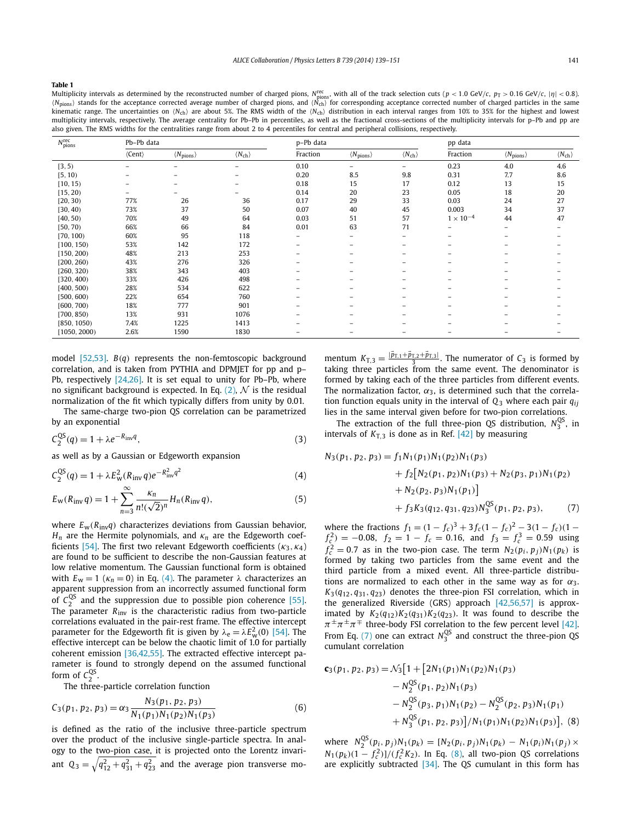#### <span id="page-2-0"></span>**Table 1**

Multiplicity intervals as determined by the reconstructed number of charged pions,  $N_{\text{pions}}^{\text{reco}}$ , with all of the track selection cuts ( $p < 1.0$  GeV/c,  $p_T > 0.16$  GeV/c,  $|\eta| < 0.8$ ).  $\langle N_{\rm pions}\rangle$  stands for the acceptance corrected average number of charged pions, and  $\langle N_{\rm ch}\rangle$  for corresponding acceptance corrected number of charged particles in the same kinematic range. The uncertainties on  $(N_{ch})$  are about 5%. The RMS width of the  $(N_{ch})$  distribution in each interval ranges from 10% to 35% for the highest and lowest multiplicity intervals, respectively. The average centrality for Pb–Pb in percentiles, as well as the fractional cross-sections of the multiplicity intervals for p–Pb and pp are also given. The RMS widths for the centralities range from about 2 to 4 percentiles for central and peripheral collisions, respectively.

| $N_{\rm pions}^{\rm rec}$ | Pb-Pb data               |                                    |                                 | p-Pb data |                                    |                              | pp data                  |                                    |                              |
|---------------------------|--------------------------|------------------------------------|---------------------------------|-----------|------------------------------------|------------------------------|--------------------------|------------------------------------|------------------------------|
|                           | $\langle$ Cent $\rangle$ | $\langle N_{\text{pions}} \rangle$ | $\langle N_{\text{ch}} \rangle$ | Fraction  | $\langle N_{\text{pions}} \rangle$ | $\langle N_{\rm ch} \rangle$ | Fraction                 | $\langle N_{\text{pions}} \rangle$ | $\langle N_{\rm ch} \rangle$ |
| [3, 5)                    |                          |                                    |                                 | 0.10      | $-$                                | Ξ.                           | 0.23                     | 4.0                                | 4.6                          |
| [5, 10)                   |                          |                                    |                                 | 0.20      | 8.5                                | 9.8                          | 0.31                     | 7.7                                | 8.6                          |
| [10, 15)                  |                          | -                                  |                                 | 0.18      | 15                                 | 17                           | 0.12                     | 13                                 | 15                           |
| [15, 20)                  | ۰                        |                                    |                                 | 0.14      | 20                                 | 23                           | 0.05                     | 18                                 | 20                           |
| [20, 30)                  | 77%                      | 26                                 | 36                              | 0.17      | 29                                 | 33                           | 0.03                     | 24                                 | 27                           |
| [30, 40)                  | 73%                      | 37                                 | 50                              | 0.07      | 40                                 | 45                           | 0.003                    | 34                                 | 37                           |
| [40, 50)                  | 70%                      | 49                                 | 64                              | 0.03      | 51                                 | 57                           | $1 \times 10^{-4}$       | 44                                 | 47                           |
| [50, 70)                  | 66%                      | 66                                 | 84                              | 0.01      | 63                                 | 71                           | $\overline{\phantom{0}}$ | -                                  |                              |
| [70, 100)                 | 60%                      | 95                                 | 118                             |           | -                                  | -                            | -                        | $\overline{\phantom{0}}$           |                              |
| [100, 150)                | 53%                      | 142                                | 172                             |           |                                    |                              |                          |                                    |                              |
| [150, 200)                | 48%                      | 213                                | 253                             |           |                                    |                              |                          |                                    |                              |
| [200, 260)                | 43%                      | 276                                | 326                             |           | $\overline{\phantom{0}}$           |                              | -                        |                                    |                              |
| [260, 320)                | 38%                      | 343                                | 403                             |           |                                    |                              |                          |                                    |                              |
| [320, 400)                | 33%                      | 426                                | 498                             |           |                                    |                              |                          |                                    |                              |
| [400, 500)                | 28%                      | 534                                | 622                             |           |                                    |                              |                          |                                    |                              |
| [500, 600)                | 22%                      | 654                                | 760                             |           |                                    |                              |                          |                                    |                              |
| [600, 700)                | 18%                      | 777                                | 901                             |           | $\overline{\phantom{0}}$           |                              | $\equiv$                 |                                    |                              |
| [700, 850)                | 13%                      | 931                                | 1076                            |           |                                    |                              |                          |                                    |                              |
| [850, 1050)               | 7.4%                     | 1225                               | 1413                            |           |                                    |                              | -                        |                                    |                              |
| [1050, 2000]              | 2.6%                     | 1590                               | 1830                            |           |                                    |                              |                          |                                    |                              |

model [\[52,53\].](#page-7-0) *B(q)* represents the non-femtoscopic background correlation, and is taken from PYTHIA and DPMJET for pp and p– Pb, respectively [\[24,26\].](#page-7-0) It is set equal to unity for Pb–Pb, where no significant background is expected. In Eq. [\(2\),](#page-1-0)  $\mathcal{N}$  is the residual normalization of the fit which typically differs from unity by 0.01.

The same-charge two-pion QS correlation can be parametrized by an exponential

$$
C_2^{\rm QS}(q) = 1 + \lambda e^{-R_{\rm inv}q},\tag{3}
$$

as well as by a Gaussian or Edgeworth expansion

$$
C_2^{QS}(q) = 1 + \lambda E_W^2(R_{inv}q)e^{-R_{inv}^2q^2}
$$
 (4)

$$
E_{\rm w}(R_{\rm inv} q) = 1 + \sum_{n=3}^{\infty} \frac{\kappa_n}{n! (\sqrt{2})^n} H_n(R_{\rm inv} q), \tag{5}
$$

where  $E_W(R_{inv}q)$  characterizes deviations from Gaussian behavior, *Hn* are the Hermite polynomials, and *κ<sup>n</sup>* are the Edgeworth coefficients [\[54\].](#page-7-0) The first two relevant Edgeworth coefficients (*κ*3*, κ*4) are found to be sufficient to describe the non-Gaussian features at low relative momentum. The Gaussian functional form is obtained with  $E_w = 1$  ( $\kappa_n = 0$ ) in Eq. (4). The parameter  $\lambda$  characterizes an apparent suppression from an incorrectly assumed functional form of  $C_2^{QS}$  and the suppression due to possible pion coherence [\[55\].](#page-7-0) The parameter *R*inv is the characteristic radius from two-particle correlations evaluated in the pair-rest frame. The effective intercept parameter for the Edgeworth fit is given by  $\lambda_e = \lambda E_w^2(0)$  [\[54\].](#page-7-0) The effective intercept can be below the chaotic limit of 1.0 for partially coherent emission [\[36,42,55\].](#page-7-0) The extracted effective intercept parameter is found to strongly depend on the assumed functional form of  $C_2^{QS}$ .

The three-particle correlation function

$$
C_3(p_1, p_2, p_3) = \alpha_3 \frac{N_3(p_1, p_2, p_3)}{N_1(p_1)N_1(p_2)N_1(p_3)}
$$
(6)

is defined as the ratio of the inclusive three-particle spectrum over the product of the inclusive single-particle spectra. In analogy to the two-pion case, it is projected onto the Lorentz invariant  $Q_3 = \sqrt{q_{12}^2 + q_{31}^2 + q_{23}^2}$  and the average pion transverse mo-

mentum  $K_{T,3} = \frac{p_{T,1} + p_{T,2} + p_{T,3}}{3}$ . The numerator of  $C_3$  is formed by taking three particles from the same event. The denominator is formed by taking each of the three particles from different events. The normalization factor,  $\alpha_3$ , is determined such that the correlation function equals unity in the interval of  $Q_3$  where each pair  $q_{ij}$ lies in the same interval given before for two-pion correlations.

The extraction of the full three-pion QS distribution,  $N_3^{\text{QS}}$ , in intervals of  $K_{\text{T,3}}$  is done as in Ref. [\[42\]](#page-7-0) by measuring

$$
N_3(p_1, p_2, p_3) = f_1 N_1(p_1) N_1(p_2) N_1(p_3)
$$
  
+  $f_2 [N_2(p_1, p_2) N_1(p_3) + N_2(p_3, p_1) N_1(p_2)$   
+  $N_2(p_2, p_3) N_1(p_1)$   
+  $f_3 K_3(q_{12}, q_{31}, q_{23}) N_3^{QS}(p_1, p_2, p_3)$ , (7)

where the fractions  $f_1 = (1 - f_c)^3 + 3f_c(1 - f_c)^2 - 3(1 - f_c)(1 - f_c^2) = -0.08$ ,  $f_2 = 1 - f_c = 0.16$ , and  $f_3 = f_c^3 = 0.59$  using  $f_c^2 = 0.7$  as in the two-pion case. The term  $N_2(p_i, p_j)N_1(p_k)$  is formed by taking two particles from the same event and the third particle from a mixed event. All three-particle distributions are normalized to each other in the same way as for  $\alpha_3$ .  $K_3(q_{12}, q_{31}, q_{23})$  denotes the three-pion FSI correlation, which in the generalized Riverside (GRS) approach [\[42,56,57\]](#page-7-0) is approximated by  $K_2(q_{12})K_2(q_{31})K_2(q_{23})$ . It was found to describe the  $\pi^{\pm}\pi^{\pm}\pi^{\mp}$  three-body FSI correlation to the few percent level [\[42\].](#page-7-0) From Eq. (7) one can extract  $N_3^{\text{QS}}$  and construct the three-pion QS cumulant correlation

$$
\mathbf{c}_{3}(p_{1}, p_{2}, p_{3}) = \mathcal{N}_{3} \Big[ 1 + \Big[ 2N_{1}(p_{1})N_{1}(p_{2})N_{1}(p_{3}) - N_{2}^{\text{QS}}(p_{1}, p_{2})N_{1}(p_{3}) - N_{2}^{\text{QS}}(p_{3}, p_{1})N_{1}(p_{2}) - N_{2}^{\text{QS}}(p_{2}, p_{3})N_{1}(p_{1}) + N_{3}^{\text{QS}}(p_{1}, p_{2}, p_{3}) \Big] / N_{1}(p_{1})N_{1}(p_{2})N_{1}(p_{3}) \Big], \tag{8}
$$

where  $N_2^{QS}(p_i, p_j)N_1(p_k) = [N_2(p_i, p_j)N_1(p_k) - N_1(p_i)N_1(p_j) \times$  $N_1(p_k)(1 - f_c^2)/(f_c^2 K_2)$ . In Eq. (8), all two-pion QS correlations are explicitly subtracted  $[34]$ . The QS cumulant in this form has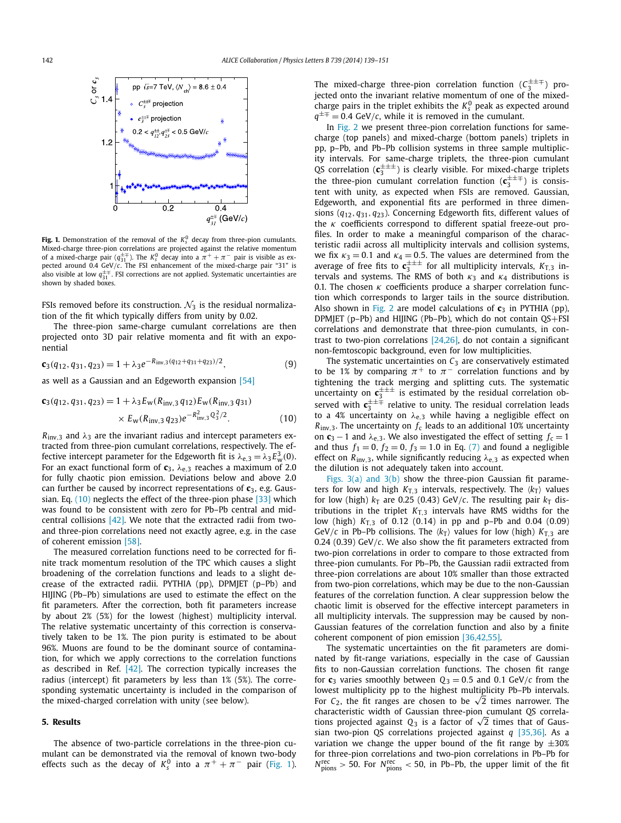<span id="page-3-0"></span>

**Fig. 1.** Demonstration of the removal of the  $K_s^0$  decay from three-pion cumulants. Mixed-charge three-pion correlations are projected against the relative momentum of a mixed-charge pair ( $q_{31}^{\pm\mp}$ ). The  $K_s^0$  decay into a  $\pi^+ + \pi^-$  pair is visible as expected around 0.4 GeV*/c*. The FSI enhancement of the mixed-charge pair "31" is also visible at low *q*±∓ <sup>31</sup> . FSI corrections are not applied. Systematic uncertainties are shown by shaded boxes.

FSIs removed before its construction.  $\mathcal{N}_3$  is the residual normalization of the fit which typically differs from unity by 0.02.

The three-pion same-charge cumulant correlations are then projected onto 3D pair relative momenta and fit with an exponential

$$
\mathbf{c}_3(q_{12}, q_{31}, q_{23}) = 1 + \lambda_3 e^{-R_{\text{inv},3}(q_{12} + q_{31} + q_{23})/2}, \tag{9}
$$

as well as a Gaussian and an Edgeworth expansion [\[54\]](#page-7-0)

$$
\mathbf{c}_3(q_{12}, q_{31}, q_{23}) = 1 + \lambda_3 E_{\mathbf{w}}(R_{\text{inv},3} q_{12}) E_{\mathbf{w}}(R_{\text{inv},3} q_{31})
$$
  
 
$$
\times E_{\mathbf{w}}(R_{\text{inv},3} q_{23}) e^{-R_{\text{inv},3}^2 Q_3^2/2}.
$$
 (10)

 $R_{\text{inv},3}$  and  $\lambda_3$  are the invariant radius and intercept parameters extracted from three-pion cumulant correlations, respectively. The effective intercept parameter for the Edgeworth fit is  $\lambda_{e,3} = \lambda_3 E_w^3(0)$ . For an exact functional form of  $c_3$ ,  $\lambda_{e,3}$  reaches a maximum of 2.0 for fully chaotic pion emission. Deviations below and above 2.0 can further be caused by incorrect representations of **c**3, e.g. Gaussian. Eq.  $(10)$  neglects the effect of the three-pion phase  $[33]$  which was found to be consistent with zero for Pb–Pb central and midcentral collisions  $[42]$ . We note that the extracted radii from twoand three-pion correlations need not exactly agree, e.g. in the case of coherent emission [\[58\].](#page-7-0)

The measured correlation functions need to be corrected for finite track momentum resolution of the TPC which causes a slight broadening of the correlation functions and leads to a slight decrease of the extracted radii. PYTHIA (pp), DPMJET (p–Pb) and HIJING (Pb–Pb) simulations are used to estimate the effect on the fit parameters. After the correction, both fit parameters increase by about 2% (5%) for the lowest (highest) multiplicity interval. The relative systematic uncertainty of this correction is conservatively taken to be 1%. The pion purity is estimated to be about 96%. Muons are found to be the dominant source of contamination, for which we apply corrections to the correlation functions as described in Ref.  $[42]$ . The correction typically increases the radius (intercept) fit parameters by less than 1% (5%). The corresponding systematic uncertainty is included in the comparison of the mixed-charged correlation with unity (see below).

#### **5. Results**

The absence of two-particle correlations in the three-pion cumulant can be demonstrated via the removal of known two-body effects such as the decay of  $K_s^0$  into a  $\pi^+ + \pi^-$  pair (Fig. 1).

The mixed-charge three-pion correlation function  $(C_3^{\pm\pm\mp})$  projected onto the invariant relative momentum of one of the mixedcharge pairs in the triplet exhibits the  $K_s^0$  peak as expected around  $q^{\pm\mp} = 0.4$  GeV/*c*, while it is removed in the cumulant.

In [Fig. 2](#page-4-0) we present three-pion correlation functions for samecharge (top panels) and mixed-charge (bottom panels) triplets in pp, p–Pb, and Pb–Pb collision systems in three sample multiplicity intervals. For same-charge triplets, the three-pion cumulant QS correlation  $(c_3^{\pm \pm \pm})$  is clearly visible. For mixed-charge triplets the three-pion cumulant correlation function  $(c_3^{\pm\pm\mp})$  is consistent with unity, as expected when FSIs are removed. Gaussian, Edgeworth, and exponential fits are performed in three dimensions (*q*12*, q*31*, q*23). Concerning Edgeworth fits, different values of the *κ* coefficients correspond to different spatial freeze-out profiles. In order to make a meaningful comparison of the characteristic radii across all multiplicity intervals and collision systems, we fix  $\kappa_3 = 0.1$  and  $\kappa_4 = 0.5$ . The values are determined from the average of free fits to  $\mathbf{c}_3^{\pm \pm \pm}$  for all multiplicity intervals,  $K_{\text{T,3}}$  intervals and systems. The RMS of both  $\kappa_3$  and  $\kappa_4$  distributions is 0.1. The chosen *κ* coefficients produce a sharper correlation function which corresponds to larger tails in the source distribution. Also shown in [Fig. 2](#page-4-0) are model calculations of  $c_3$  in PYTHIA (pp), DPMJET (p–Pb) and HIJING (Pb–Pb), which do not contain QS+FSI correlations and demonstrate that three-pion cumulants, in contrast to two-pion correlations [\[24,26\],](#page-7-0) do not contain a significant non-femtoscopic background, even for low multiplicities.

The systematic uncertainties on  $C_3$  are conservatively estimated to be 1% by comparing  $\pi^+$  to  $\pi^-$  correlation functions and by tightening the track merging and splitting cuts. The systematic uncertainty on  $\mathbf{c}_3^{\pm \pm \pm}$  is estimated by the residual correlation observed with  $c_3^{\pm\pm\mp}$  relative to unity. The residual correlation leads to a 4% uncertainty on *λ*e*,*<sup>3</sup> while having a negligible effect on  $R_{\text{inv},3}$ . The uncertainty on  $f_c$  leads to an additional 10% uncertainty on **c**<sub>3</sub> − 1 and  $\lambda_{e,3}$ . We also investigated the effect of setting  $f_c = 1$ and thus  $f_1 = 0$ ,  $f_2 = 0$ ,  $f_3 = 1.0$  in Eq. [\(7\)](#page-2-0) and found a negligible effect on *R*inv*,*3, while significantly reducing *λ*e*,*<sup>3</sup> as expected when the dilution is not adequately taken into account.

Figs.  $3(a)$  and  $3(b)$  show the three-pion Gaussian fit parameters for low and high  $K_{T,3}$  intervals, respectively. The  $\langle k_T \rangle$  values for low (high)  $k<sub>T</sub>$  are 0.25 (0.43) GeV/*c*. The resulting pair  $k<sub>T</sub>$  distributions in the triplet  $K_{\text{T,3}}$  intervals have RMS widths for the low (high) *K*T*,*<sup>3</sup> of 0*.*12 (0*.*14) in pp and p–Pb and 0*.*04 (0*.*09) GeV/*c* in Pb–Pb collisions. The  $\langle k_T \rangle$  values for low (high)  $K_{T,3}$  are 0.24 (0.39) GeV*/c*. We also show the fit parameters extracted from two-pion correlations in order to compare to those extracted from three-pion cumulants. For Pb–Pb, the Gaussian radii extracted from three-pion correlations are about 10% smaller than those extracted from two-pion correlations, which may be due to the non-Gaussian features of the correlation function. A clear suppression below the chaotic limit is observed for the effective intercept parameters in all multiplicity intervals. The suppression may be caused by non-Gaussian features of the correlation function and also by a finite coherent component of pion emission [\[36,42,55\].](#page-7-0)

The systematic uncertainties on the fit parameters are dominated by fit-range variations, especially in the case of Gaussian fits to non-Gaussian correlation functions. The chosen fit range for  $c_3$  varies smoothly between  $Q_3 = 0.5$  and 0.1 GeV/*c* from the lowest multiplicity pp to the highest multiplicity Pb–Pb intervals. For  $C_2$ , the fit ranges are chosen to be  $\sqrt{2}$  times narrower. The characteristic width of Gaussian three-pion cumulant QS correlations projected against  $Q_3$  is a factor of  $\sqrt{2}$  times that of Gaussian two-pion QS correlations projected against *q* [\[35,36\].](#page-7-0) As a variation we change the upper bound of the fit range by  $\pm 30\%$ for three-pion correlations and two-pion correlations in Pb–Pb for  $N_{\rm pions}^{\rm rec}$  > 50. For  $N_{\rm pions}^{\rm rec}$  < 50, in Pb–Pb, the upper limit of the fit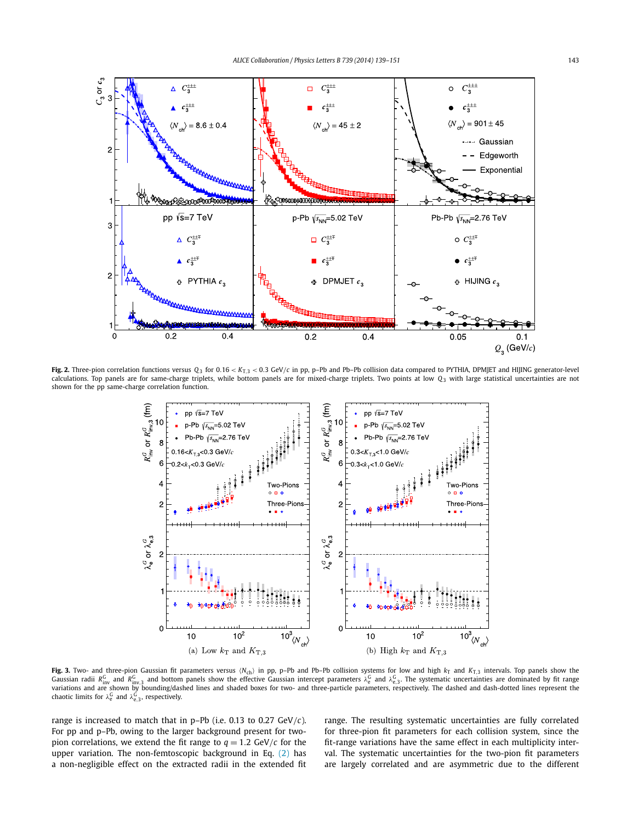<span id="page-4-0"></span>

Fig. 2. Three-pion correlation functions versus  $Q_3$  for  $0.16 < K_{T,3} < 0.3$  GeV/c in pp, p-Pb and Pb-Pb collision data compared to PYTHIA, DPMJET and HIJING generator-level calculations. Top panels are for same-charge triplets, while bottom panels are for mixed-charge triplets. Two points at low *Q*<sup>3</sup> with large statistical uncertainties are not shown for the pp same-charge correlation function.



**Fig. 3.** Two- and three-pion Gaussian fit parameters versus {N<sub>ch</sub>} in pp, p–Pb and Pb–Pb collision systems for low and high k<sub>T</sub> and K<sub>T,3</sub> intervals. Top panels show the<br>Gaussian radii R<sub>inv</sub> and R<sub>inv,3</sub> and bottom pa chaotic limits for  $\lambda_{\rm e}^{\rm G}$  and  $\lambda_{\rm e,3}^{\rm G}$ , respectively.

range is increased to match that in p–Pb (i.e. 0.13 to 0.27 GeV*/c*). For pp and p–Pb, owing to the larger background present for twopion correlations, we extend the fit range to  $q = 1.2$  GeV/*c* for the upper variation. The non-femtoscopic background in Eq. [\(2\)](#page-1-0) has a non-negligible effect on the extracted radii in the extended fit range. The resulting systematic uncertainties are fully correlated for three-pion fit parameters for each collision system, since the fit-range variations have the same effect in each multiplicity interval. The systematic uncertainties for the two-pion fit parameters are largely correlated and are asymmetric due to the different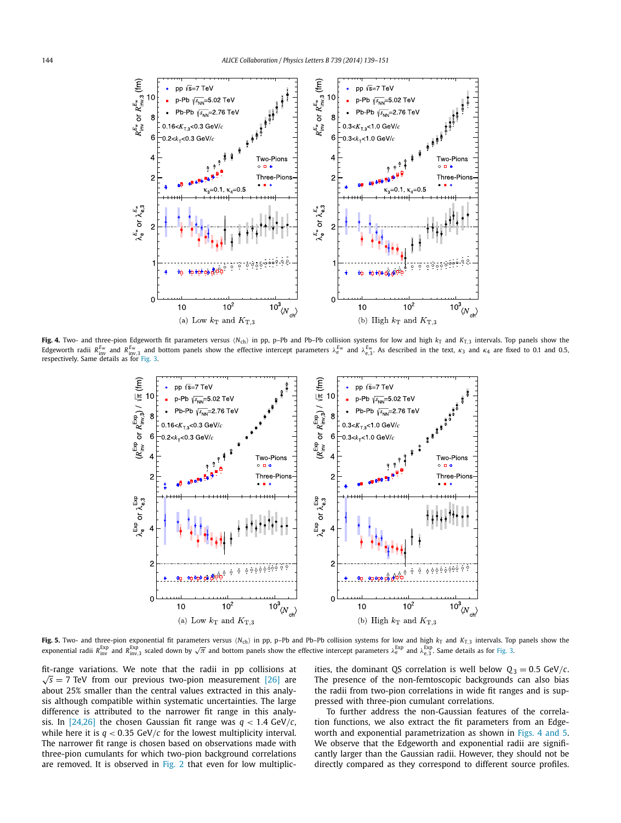

Fig. 4. Two- and three-pion Edgeworth fit parameters versus  $\langle N_{\text{ch}} \rangle$  in pp, p–Pb and Pb–Pb collision systems for low and high  $k_T$  and  $K_{T,3}$  intervals. Top panels show the Edgeworth radii  $R_{\rm inv}^{E_{\rm w}}$  and  $R_{\rm inv,3}^{E_{\rm w}}$  and bottom panels show the effective intercept parameters  $\lambda_{\rm e}^{E_{\rm w}}$  and  $\lambda_{\rm e,3}^{E_{\rm w}}$ . As described in the text,  $\kappa_3$  and  $\kappa_4$  are fixed to 0.1 and 0 respectively. Same details as for [Fig. 3.](#page-4-0)



**Fig. 5.** Two- and three-pion exponential fit parameters versus (N<sub>ch</sub>) in pp, p–Pb and Pb–Pb collision systems for low and high k<sub>T</sub> and K<sub>T,3</sub> intervals. Top panels show the exponential radii R<sub>inv</sub> and R<sub>inv</sub> and R<sub>inv</sub>

fit-range variations. We note that the radii in pp collisions at  $\sqrt{s}$  = 7 TeV from our previous two-pion measurement [\[26\]](#page-7-0) are about 25% smaller than the central values extracted in this analysis although compatible within systematic uncertainties. The large difference is attributed to the narrower fit range in this analy-sis. In [\[24,26\]](#page-7-0) the chosen Gaussian fit range was  $q < 1.4$  GeV/*c*, while here it is *q <* 0*.*35 GeV*/c* for the lowest multiplicity interval. The narrower fit range is chosen based on observations made with three-pion cumulants for which two-pion background correlations are removed. It is observed in [Fig. 2](#page-4-0) that even for low multiplicities, the dominant QS correlation is well below  $Q_3 = 0.5$  GeV/*c*. The presence of the non-femtoscopic backgrounds can also bias the radii from two-pion correlations in wide fit ranges and is suppressed with three-pion cumulant correlations.

To further address the non-Gaussian features of the correlation functions, we also extract the fit parameters from an Edgeworth and exponential parametrization as shown in Figs. 4 and 5. We observe that the Edgeworth and exponential radii are significantly larger than the Gaussian radii. However, they should not be directly compared as they correspond to different source profiles.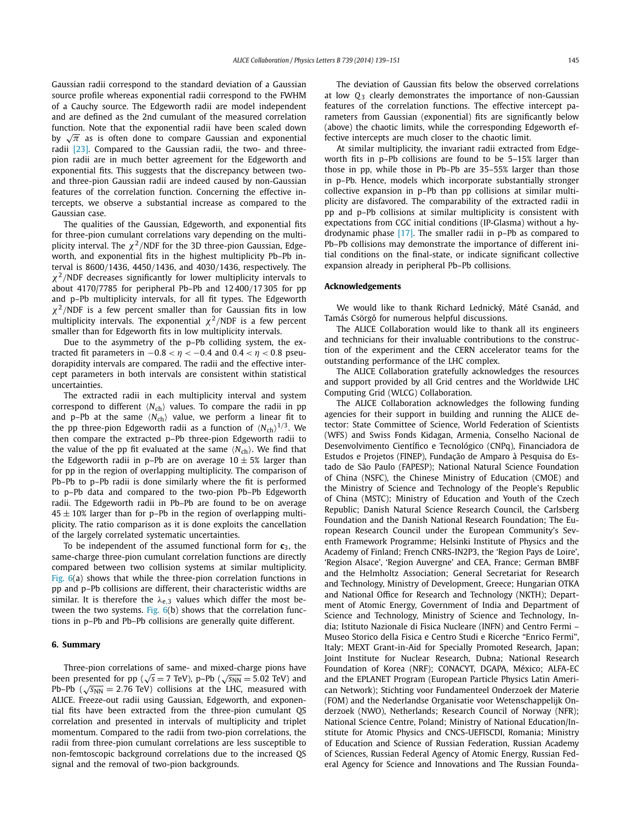<span id="page-6-0"></span>Gaussian radii correspond to the standard deviation of a Gaussian source profile whereas exponential radii correspond to the FWHM of a Cauchy source. The Edgeworth radii are model independent and are defined as the 2nd cumulant of the measured correlation function. Note that the exponential radii have been scaled down by  $\sqrt{\pi}$  as is often done to compare Gaussian and exponential radii [\[23\].](#page-7-0) Compared to the Gaussian radii, the two- and threepion radii are in much better agreement for the Edgeworth and exponential fits. This suggests that the discrepancy between twoand three-pion Gaussian radii are indeed caused by non-Gaussian features of the correlation function. Concerning the effective intercepts, we observe a substantial increase as compared to the Gaussian case.

The qualities of the Gaussian, Edgeworth, and exponential fits for three-pion cumulant correlations vary depending on the multiplicity interval. The *χ*<sup>2</sup>*/*NDF for the 3D three-pion Gaussian, Edgeworth, and exponential fits in the highest multiplicity Pb–Pb interval is 8600*/*1436, 4450*/*1436, and 4030*/*1436, respectively. The *χ*<sup>2</sup>*/*NDF decreases significantly for lower multiplicity intervals to about 4170/7785 for peripheral Pb–Pb and 12 400*/*17 305 for pp and p–Pb multiplicity intervals, for all fit types. The Edgeworth *χ*<sup>2</sup>*/*NDF is a few percent smaller than for Gaussian fits in low multiplicity intervals. The exponential *χ*<sup>2</sup>*/*NDF is a few percent smaller than for Edgeworth fits in low multiplicity intervals.

Due to the asymmetry of the p–Pb colliding system, the extracted fit parameters in  $-0.8 < \eta < -0.4$  and  $0.4 < \eta < 0.8$  pseudorapidity intervals are compared. The radii and the effective intercept parameters in both intervals are consistent within statistical uncertainties.

The extracted radii in each multiplicity interval and system correspond to different  $\langle N_{\text{ch}} \rangle$  values. To compare the radii in pp and p-Pb at the same  $\langle N_{\text{ch}} \rangle$  value, we perform a linear fit to the pp three-pion Edgeworth radii as a function of  $(N_{ch})^{1/3}$ . We then compare the extracted p–Pb three-pion Edgeworth radii to the value of the pp fit evaluated at the same  $\langle N_{\text{ch}}\rangle$ . We find that the Edgeworth radii in p–Pb are on average  $10 \pm 5\%$  larger than for pp in the region of overlapping multiplicity. The comparison of Pb–Pb to p–Pb radii is done similarly where the fit is performed to p–Pb data and compared to the two-pion Pb–Pb Edgeworth radii. The Edgeworth radii in Pb–Pb are found to be on average  $45 \pm 10\%$  larger than for p–Pb in the region of overlapping multiplicity. The ratio comparison as it is done exploits the cancellation of the largely correlated systematic uncertainties.

To be independent of the assumed functional form for  $c_3$ , the same-charge three-pion cumulant correlation functions are directly compared between two collision systems at similar multiplicity. [Fig. 6\(](#page-7-0)a) shows that while the three-pion correlation functions in pp and p–Pb collisions are different, their characteristic widths are similar. It is therefore the  $\lambda_{e,3}$  values which differ the most between the two systems. [Fig. 6\(](#page-7-0)b) shows that the correlation functions in p–Pb and Pb–Pb collisions are generally quite different.

#### **6. Summary**

Three-pion correlations of same- and mixed-charge pions have been presented for pp ( $\sqrt{s}$  = 7 TeV), p–Pb ( $\sqrt{s_{NN}}$  = 5.02 TeV) and Pb–Pb ( $\sqrt{s_{NN}}$  = 2.76 TeV) collisions at the LHC, measured with ALICE. Freeze-out radii using Gaussian, Edgeworth, and exponential fits have been extracted from the three-pion cumulant QS correlation and presented in intervals of multiplicity and triplet momentum. Compared to the radii from two-pion correlations, the radii from three-pion cumulant correlations are less susceptible to non-femtoscopic background correlations due to the increased QS signal and the removal of two-pion backgrounds.

The deviation of Gaussian fits below the observed correlations at low *Q*<sup>3</sup> clearly demonstrates the importance of non-Gaussian features of the correlation functions. The effective intercept parameters from Gaussian (exponential) fits are significantly below (above) the chaotic limits, while the corresponding Edgeworth effective intercepts are much closer to the chaotic limit.

At similar multiplicity, the invariant radii extracted from Edgeworth fits in p–Pb collisions are found to be 5–15% larger than those in pp, while those in Pb–Pb are 35–55% larger than those in p–Pb. Hence, models which incorporate substantially stronger collective expansion in p–Pb than pp collisions at similar multiplicity are disfavored. The comparability of the extracted radii in pp and p–Pb collisions at similar multiplicity is consistent with expectations from CGC initial conditions (IP-Glasma) without a hydrodynamic phase [\[17\].](#page-7-0) The smaller radii in p–Pb as compared to Pb–Pb collisions may demonstrate the importance of different initial conditions on the final-state, or indicate significant collective expansion already in peripheral Pb–Pb collisions.

#### **Acknowledgements**

We would like to thank Richard Lednický, Máté Csanád, and Tamás Csörgő for numerous helpful discussions.

The ALICE Collaboration would like to thank all its engineers and technicians for their invaluable contributions to the construction of the experiment and the CERN accelerator teams for the outstanding performance of the LHC complex.

The ALICE Collaboration gratefully acknowledges the resources and support provided by all Grid centres and the Worldwide LHC Computing Grid (WLCG) Collaboration.

The ALICE Collaboration acknowledges the following funding agencies for their support in building and running the ALICE detector: State Committee of Science, World Federation of Scientists (WFS) and Swiss Fonds Kidagan, Armenia, Conselho Nacional de Desenvolvimento Científico e Tecnológico (CNPq), Financiadora de Estudos e Projetos (FINEP), Fundação de Amparo à Pesquisa do Estado de São Paulo (FAPESP); National Natural Science Foundation of China (NSFC), the Chinese Ministry of Education (CMOE) and the Ministry of Science and Technology of the People's Republic of China (MSTC); Ministry of Education and Youth of the Czech Republic; Danish Natural Science Research Council, the Carlsberg Foundation and the Danish National Research Foundation; The European Research Council under the European Community's Seventh Framework Programme; Helsinki Institute of Physics and the Academy of Finland; French CNRS-IN2P3, the 'Region Pays de Loire', 'Region Alsace', 'Region Auvergne' and CEA, France; German BMBF and the Helmholtz Association; General Secretariat for Research and Technology, Ministry of Development, Greece; Hungarian OTKA and National Office for Research and Technology (NKTH); Department of Atomic Energy, Government of India and Department of Science and Technology, Ministry of Science and Technology, India; Istituto Nazionale di Fisica Nucleare (INFN) and Centro Fermi – Museo Storico della Fisica e Centro Studi e Ricerche "Enrico Fermi", Italy; MEXT Grant-in-Aid for Specially Promoted Research, Japan; Joint Institute for Nuclear Research, Dubna; National Research Foundation of Korea (NRF); CONACYT, DGAPA, México; ALFA-EC and the EPLANET Program (European Particle Physics Latin American Network); Stichting voor Fundamenteel Onderzoek der Materie (FOM) and the Nederlandse Organisatie voor Wetenschappelijk Onderzoek (NWO), Netherlands; Research Council of Norway (NFR); National Science Centre, Poland; Ministry of National Education/Institute for Atomic Physics and CNCS-UEFISCDI, Romania; Ministry of Education and Science of Russian Federation, Russian Academy of Sciences, Russian Federal Agency of Atomic Energy, Russian Federal Agency for Science and Innovations and The Russian Founda-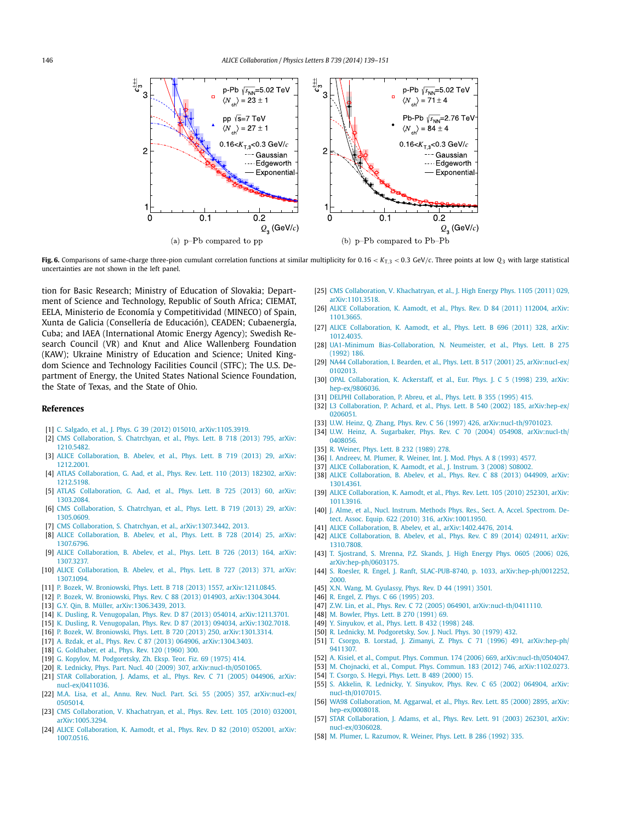<span id="page-7-0"></span>

Fig. 6. Comparisons of same-charge three-pion cumulant correlation functions at similar multiplicity for 0.16 <  $K_{T,3}$  < 0.3 GeV/c. Three points at low  $Q_3$  with large statistical uncertainties are not shown in the left panel.

tion for Basic Research; Ministry of Education of Slovakia; Department of Science and Technology, Republic of South Africa; CIEMAT, EELA, Ministerio de Economía y Competitividad (MINECO) of Spain, Xunta de Galicia (Consellería de Educación), CEADEN; Cubaenergía, Cuba; and IAEA (International Atomic Energy Agency); Swedish Research Council (VR) and Knut and Alice Wallenberg Foundation (KAW); Ukraine Ministry of Education and Science; United Kingdom Science and Technology Facilities Council (STFC); The U.S. Department of Energy, the United States National Science Foundation, the State of Texas, and the State of Ohio.

#### **References**

- [1] C. Salgado, et al., J. Phys. G 39 (2012) 015010, [arXiv:1105.3919.](http://refhub.elsevier.com/S0370-2693(14)00757-6/bib53616C6761646F3A323031317763s1)
- [2] CMS [Collaboration,](http://refhub.elsevier.com/S0370-2693(14)00757-6/bib434D533A32303132716Bs1) S. Chatrchyan, et al., Phys. Lett. B 718 (2013) 795, arXiv: [1210.5482.](http://refhub.elsevier.com/S0370-2693(14)00757-6/bib434D533A32303132716Bs1)
- [3] ALICE [Collaboration,](http://refhub.elsevier.com/S0370-2693(14)00757-6/bib4162656C65763A323031326F6C61s1) B. Abelev, et al., Phys. Lett. B 719 (2013) 29, arXiv: [1212.2001.](http://refhub.elsevier.com/S0370-2693(14)00757-6/bib4162656C65763A323031326F6C61s1)
- [4] ATLAS [Collaboration,](http://refhub.elsevier.com/S0370-2693(14)00757-6/bib4161643A32303132676C61s1) G. Aad, et al., Phys. Rev. Lett. 110 (2013) 182302, arXiv: [1212.5198.](http://refhub.elsevier.com/S0370-2693(14)00757-6/bib4161643A32303132676C61s1)
- [5] ATLAS [Collaboration,](http://refhub.elsevier.com/S0370-2693(14)00757-6/bib4161643A32303133666A61s1) G. Aad, et al., Phys. Lett. B 725 (2013) 60, arXiv: [1303.2084.](http://refhub.elsevier.com/S0370-2693(14)00757-6/bib4161643A32303133666A61s1)
- [6] CMS [Collaboration,](http://refhub.elsevier.com/S0370-2693(14)00757-6/bib4368617472636879616E3A323031336E6B61s1) S. Chatrchyan, et al., Phys. Lett. B 719 (2013) 29, arXiv: [1305.0609.](http://refhub.elsevier.com/S0370-2693(14)00757-6/bib4368617472636879616E3A323031336E6B61s1)
- [7] CMS Collaboration, S. Chatrchyan, et al., [arXiv:1307.3442,](http://refhub.elsevier.com/S0370-2693(14)00757-6/bib4368617472636879616E3A32303133657961s1) 2013.
- [8] ALICE [Collaboration,](http://refhub.elsevier.com/S0370-2693(14)00757-6/bib4162656C65763A32303133686161s1) B. Abelev, et al., Phys. Lett. B 728 (2014) 25, arXiv: [1307.6796.](http://refhub.elsevier.com/S0370-2693(14)00757-6/bib4162656C65763A32303133686161s1)
- [9] ALICE [Collaboration,](http://refhub.elsevier.com/S0370-2693(14)00757-6/bib4162656C65763A32303133777361s1) B. Abelev, et al., Phys. Lett. B 726 (2013) 164, arXiv: [1307.3237.](http://refhub.elsevier.com/S0370-2693(14)00757-6/bib4162656C65763A32303133777361s1)
- [10] ALICE [Collaboration,](http://refhub.elsevier.com/S0370-2693(14)00757-6/bib4162656C65763A32303133626C61s1) B. Abelev, et al., Phys. Lett. B 727 (2013) 371, arXiv: [1307.1094.](http://refhub.elsevier.com/S0370-2693(14)00757-6/bib4162656C65763A32303133626C61s1)
- [11] P. Bozek, W. Broniowski, Phys. Lett. B 718 (2013) 1557, [arXiv:1211.0845.](http://refhub.elsevier.com/S0370-2693(14)00757-6/bib426F7A656B3A323031326772s1)
- [12] P. Bozek, W. Broniowski, Phys. Rev. C 88 (2013) 014903, [arXiv:1304.3044.](http://refhub.elsevier.com/S0370-2693(14)00757-6/bib426F7A656B3A32303133756861s1)
- [13] G.Y. Qin, B. Müller, [arXiv:1306.3439,](http://refhub.elsevier.com/S0370-2693(14)00757-6/bib51696E3A32303133626861s1) 2013.
- [14] K. Dusling, R. Venugopalan, Phys. Rev. D 87 (2013) 054014, [arXiv:1211.3701.](http://refhub.elsevier.com/S0370-2693(14)00757-6/bib4475736C696E673A323031327779s1)
- [15] K. Dusling, R. Venugopalan, Phys. Rev. D 87 (2013) 094034, [arXiv:1302.7018.](http://refhub.elsevier.com/S0370-2693(14)00757-6/bib4475736C696E673A323031336F6961s1)
- [16] P. Bozek, W. Broniowski, Phys. Lett. B 720 (2013) 250, [arXiv:1301.3314.](http://refhub.elsevier.com/S0370-2693(14)00757-6/bib426F7A656B3A323031336466s1)
- [17] A. Bzdak, et al., Phys. Rev. C 87 (2013) 064906, [arXiv:1304.3403.](http://refhub.elsevier.com/S0370-2693(14)00757-6/bib427A64616B3A323031337A6D61s1)
- [18] G. [Goldhaber,](http://refhub.elsevier.com/S0370-2693(14)00757-6/bib476F6C6468616265723A313936307366s1) et al., Phys. Rev. 120 (1960) 300.
- [19] G. Kopylov, M. [Podgoretsky,](http://refhub.elsevier.com/S0370-2693(14)00757-6/bib4B6F70796C6F763A313937357270s1) Zh. Eksp. Teor. Fiz. 69 (1975) 414.
- [20] R. Lednicky, Phys. Part. Nucl. 40 (2009) 307, [arXiv:nucl-th/0501065.](http://refhub.elsevier.com/S0370-2693(14)00757-6/bib4C65646E69636B793A323030357462s1)
- [21] STAR [Collaboration,](http://refhub.elsevier.com/S0370-2693(14)00757-6/bib4164616D733A323030347963s1) J. Adams, et al., Phys. Rev. C 71 (2005) 044906, arXiv: [nucl-ex/0411036.](http://refhub.elsevier.com/S0370-2693(14)00757-6/bib4164616D733A323030347963s1)
- [22] M.A. Lisa, et al., Annu. Rev. Nucl. Part. Sci. 55 (2005) 357, [arXiv:nucl-ex/](http://refhub.elsevier.com/S0370-2693(14)00757-6/bib4C6973613A323030356464s1) [0505014.](http://refhub.elsevier.com/S0370-2693(14)00757-6/bib4C6973613A323030356464s1)
- [23] CMS [Collaboration,](http://refhub.elsevier.com/S0370-2693(14)00757-6/bib4B6861636861747279616E3A32303130756Es1) V. Khachatryan, et al., Phys. Rev. Lett. 105 (2010) 032001, [arXiv:1005.3294.](http://refhub.elsevier.com/S0370-2693(14)00757-6/bib4B6861636861747279616E3A32303130756Es1)
- [24] ALICE [Collaboration,](http://refhub.elsevier.com/S0370-2693(14)00757-6/bib41616D6F64743A323031306A6As1) K. Aamodt, et al., Phys. Rev. D 82 (2010) 052001, arXiv: [1007.0516.](http://refhub.elsevier.com/S0370-2693(14)00757-6/bib41616D6F64743A323031306A6As1)
- [25] CMS [Collaboration,](http://refhub.elsevier.com/S0370-2693(14)00757-6/bib4B6861636861747279616E3A323031316869s1) V. Khachatryan, et al., J. High Energy Phys. 1105 (2011) 029, [arXiv:1101.3518.](http://refhub.elsevier.com/S0370-2693(14)00757-6/bib4B6861636861747279616E3A323031316869s1)
- [26] ALICE [Collaboration,](http://refhub.elsevier.com/S0370-2693(14)00757-6/bib41616D6F64743A323031316B64s1) K. Aamodt, et al., Phys. Rev. D 84 (2011) 112004, arXiv: [1101.3665.](http://refhub.elsevier.com/S0370-2693(14)00757-6/bib41616D6F64743A323031316B64s1)
- [27] ALICE [Collaboration,](http://refhub.elsevier.com/S0370-2693(14)00757-6/bib41616D6F64743A323031316D72s1) K. Aamodt, et al., Phys. Lett. B 696 (2011) 328, arXiv: [1012.4035.](http://refhub.elsevier.com/S0370-2693(14)00757-6/bib41616D6F64743A323031316D72s1)
- [28] UA1-Minimum [Bias-Collaboration,](http://refhub.elsevier.com/S0370-2693(14)00757-6/bib4E65756D6569737465723A313939316271s1) N. Neumeister, et al., Phys. Lett. B 275 [\(1992\)](http://refhub.elsevier.com/S0370-2693(14)00757-6/bib4E65756D6569737465723A313939316271s1) 186.
- [29] NA44 Collaboration, I. Bearden, et al., Phys. Lett. B 517 (2001) 25, [arXiv:nucl-ex/](http://refhub.elsevier.com/S0370-2693(14)00757-6/bib4265617264656E3A323030316561s1) [0102013.](http://refhub.elsevier.com/S0370-2693(14)00757-6/bib4265617264656E3A323030316561s1)
- [30] OPAL [Collaboration,](http://refhub.elsevier.com/S0370-2693(14)00757-6/bib41636B657273746166663A313939387079s1) K. Ackerstaff, et al., Eur. Phys. J. C 5 (1998) 239, arXiv: [hep-ex/9806036.](http://refhub.elsevier.com/S0370-2693(14)00757-6/bib41636B657273746166663A313939387079s1)
- [31] DELPHI [Collaboration,](http://refhub.elsevier.com/S0370-2693(14)00757-6/bib41627265753A313939357371s1) P. Abreu, et al., Phys. Lett. B 355 (1995) 415.
- [32] L3 [Collaboration,](http://refhub.elsevier.com/S0370-2693(14)00757-6/bib4163686172643A323030326A61s1) P. Achard, et al., Phys. Lett. B 540 (2002) 185, arXiv:hep-ex/ [0206051.](http://refhub.elsevier.com/S0370-2693(14)00757-6/bib4163686172643A323030326A61s1)
- [33] U.W. Heinz, Q. Zhang, Phys. Rev. C 56 (1997) 426, [arXiv:nucl-th/9701023.](http://refhub.elsevier.com/S0370-2693(14)00757-6/bib4865696E7A3A313939376D72s1)
- [34] U.W. Heinz, A. Sugarbaker, Phys. Rev. C 70 (2004) 054908, [arXiv:nucl-th/](http://refhub.elsevier.com/S0370-2693(14)00757-6/bib4865696E7A3A323030347076s1) [0408056.](http://refhub.elsevier.com/S0370-2693(14)00757-6/bib4865696E7A3A323030347076s1)
- [35] R. [Weiner,](http://refhub.elsevier.com/S0370-2693(14)00757-6/bib5765696E65723A313938386A79s1) Phys. Lett. B 232 (1989) 278.
- [36] I. [Andreev,](http://refhub.elsevier.com/S0370-2693(14)00757-6/bib416E64726565763A313939327075s1) M. Plumer, R. Weiner, Int. J. Mod. Phys. A 8 (1993) 4577.
- [37] ALICE [Collaboration,](http://refhub.elsevier.com/S0370-2693(14)00757-6/bib41616D6F64743A323030387A7As1) K. Aamodt, et al., J. Instrum. 3 (2008) S08002.
- [38] ALICE [Collaboration,](http://refhub.elsevier.com/S0370-2693(14)00757-6/bib4162656C65763A32303133716F71s1) B. Abelev, et al., Phys. Rev. C 88 (2013) 044909, arXiv: [1301.4361.](http://refhub.elsevier.com/S0370-2693(14)00757-6/bib4162656C65763A32303133716F71s1)
- [39] ALICE [Collaboration,](http://refhub.elsevier.com/S0370-2693(14)00757-6/bib41616D6F64743A323031307062s1) K. Aamodt, et al., Phys. Rev. Lett. 105 (2010) 252301, arXiv: [1011.3916.](http://refhub.elsevier.com/S0370-2693(14)00757-6/bib41616D6F64743A323031307062s1)
- [40] J. Alme, et al., Nucl. Instrum. Methods Phys. Res., Sect. A, Accel. [Spectrom.](http://refhub.elsevier.com/S0370-2693(14)00757-6/bib416C6D653A323031306B65s1) Detect. Assoc. Equip. 622 (2010) 316, [arXiv:1001.1950.](http://refhub.elsevier.com/S0370-2693(14)00757-6/bib416C6D653A323031306B65s1)
- [41] ALICE Collaboration, B. Abelev, et al., [arXiv:1402.4476,](http://refhub.elsevier.com/S0370-2693(14)00757-6/bib4162656C65763A32303134666661s1) 2014.
- [42] ALICE [Collaboration,](http://refhub.elsevier.com/S0370-2693(14)00757-6/bib4162656C65763A32303133707161s1) B. Abelev, et al., Phys. Rev. C 89 (2014) 024911, arXiv: [1310.7808.](http://refhub.elsevier.com/S0370-2693(14)00757-6/bib4162656C65763A32303133707161s1)
- [43] T. [Sjostrand,](http://refhub.elsevier.com/S0370-2693(14)00757-6/bib536A6F737472616E643A323030367A61s1) S. Mrenna, P.Z. Skands, J. High Energy Phys. 0605 (2006) 026, [arXiv:hep-ph/0603175.](http://refhub.elsevier.com/S0370-2693(14)00757-6/bib536A6F737472616E643A323030367A61s1)
- [44] S. Roesler, R. Engel, J. Ranft, SLAC-PUB-8740, p. 1033, [arXiv:hep-ph/0012252,](http://refhub.elsevier.com/S0370-2693(14)00757-6/bib526F65736C65723A323030306865s1) [2000.](http://refhub.elsevier.com/S0370-2693(14)00757-6/bib526F65736C65723A323030306865s1)
- [45] X.N. Wang, M. [Gyulassy,](http://refhub.elsevier.com/S0370-2693(14)00757-6/bib57616E673A31393931687461s1) Phys. Rev. D 44 (1991) 3501.
- [46] R. Engel, Z. Phys. C 66 [\(1995\)](http://refhub.elsevier.com/S0370-2693(14)00757-6/bib456E67656C3A313939347673s1) 203.
- [47] Z.W. Lin, et al., Phys. Rev. C 72 (2005) 064901, [arXiv:nucl-th/0411110.](http://refhub.elsevier.com/S0370-2693(14)00757-6/bib4C696E3A32303034656Es1)
- [48] M. [Bowler,](http://refhub.elsevier.com/S0370-2693(14)00757-6/bib426F776C65723A313939317678s1) Phys. Lett. B 270 (1991) 69.
- [49] Y. [Sinyukov,](http://refhub.elsevier.com/S0370-2693(14)00757-6/bib53696E79756B6F763A313939386663s1) et al., Phys. Lett. B 432 (1998) 248.
- [50] R. Lednicky, M. [Podgoretsky,](http://refhub.elsevier.com/S0370-2693(14)00757-6/bib4C65646E69636B793A313937396967s1) Sov. J. Nucl. Phys. 30 (1979) 432.
- [51] T. Csorgo, B. Lorstad, J. Zimanyi, Z. Phys. C 71 (1996) 491, [arXiv:hep-ph/](http://refhub.elsevier.com/S0370-2693(14)00757-6/bib43736F72676F3A31393934696Es1) [9411307.](http://refhub.elsevier.com/S0370-2693(14)00757-6/bib43736F72676F3A31393934696Es1)
- [52] A. Kisiel, et al., Comput. Phys. Commun. 174 (2006) 669, [arXiv:nucl-th/0504047.](http://refhub.elsevier.com/S0370-2693(14)00757-6/bib4B697369656C3A32303035686Es1)
- [53] M. Chojnacki, et al., Comput. Phys. Commun. 183 (2012) 746, [arXiv:1102.0273.](http://refhub.elsevier.com/S0370-2693(14)00757-6/bib43686F6A6E61636B693A323031316862s1)
- [54] T. [Csorgo,](http://refhub.elsevier.com/S0370-2693(14)00757-6/bib43736F72676F3A323030307066s1) S. Hegyi, Phys. Lett. B 489 (2000) 15.
- [55] S. Akkelin, R. Lednicky, Y. [Sinyukov,](http://refhub.elsevier.com/S0370-2693(14)00757-6/bib416B6B656C696E3A323030316E64s1) Phys. Rev. C 65 (2002) 064904, arXiv: [nucl-th/0107015.](http://refhub.elsevier.com/S0370-2693(14)00757-6/bib416B6B656C696E3A323030316E64s1)
- [56] WA98 [Collaboration,](http://refhub.elsevier.com/S0370-2693(14)00757-6/bib416767617277616C3A323030306578s1) M. Aggarwal, et al., Phys. Rev. Lett. 85 (2000) 2895, arXiv: [hep-ex/0008018.](http://refhub.elsevier.com/S0370-2693(14)00757-6/bib416767617277616C3A323030306578s1)
- [57] STAR [Collaboration,](http://refhub.elsevier.com/S0370-2693(14)00757-6/bib4164616D733A323030337664s1) J. Adams, et al., Phys. Rev. Lett. 91 (2003) 262301, arXiv: [nucl-ex/0306028.](http://refhub.elsevier.com/S0370-2693(14)00757-6/bib4164616D733A323030337664s1)
- [58] M. Plumer, L. [Razumov,](http://refhub.elsevier.com/S0370-2693(14)00757-6/bib506C756D65723A313939326175s1) R. Weiner, Phys. Lett. B 286 (1992) 335.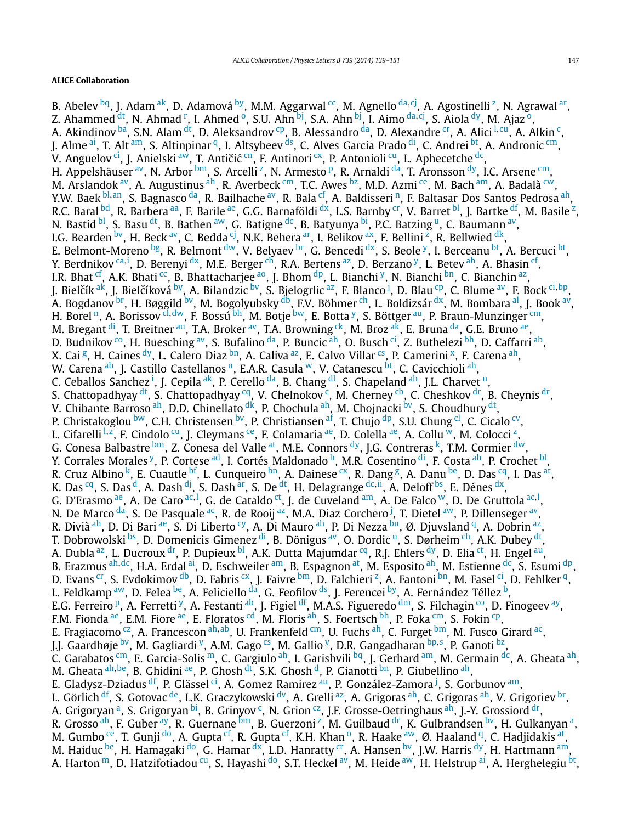#### <span id="page-8-0"></span>**ALICE Collaboration**

B. Abelev <sup>bq</sup>, J. A[da](#page-12-0)m <sup>ak</sup>, D. Adamová <sup>by</sup>, M.M. Aggarwal <sup>cc</sup>, M. Agnello da,[cj,](#page-11-0) A. Agostinelli<sup>z</sup>, N. Agrawal [ar,](#page-11-0) Z. Ahammed <sup>dt</sup>, N. Ahmad <sup>[r](#page-10-0)</sup>, I. Ahmed <sup>o</sup>, S.U. Ahn <sup>bj</sup>, S.A. Ahn <sup>bj</sup>, I. Aimo <sup>[da](#page-12-0),cj</sup>, S. Aiola <sup>dy</sup>, M. Ajaz <sup>o</sup>, A. Akindinov <sup>[ba](#page-11-0)</sup>, S.N. Alam [dt,](#page-12-0) D. Aleksandrov <sup>cp</sup>, B. Alessandro [da,](#page-12-0) D. A[l](#page-10-0)exandre Cr, A. Alici <sup>l,cu</sup>, A. Alkin [c,](#page-10-0) J. Alme [ai,](#page-11-0) T. Alt [am,](#page-11-0) S. Altinpinar <sup>[q](#page-10-0)</sup>, I. Altsybeev [ds,](#page-12-0) C. Alves Garcia Prado [di,](#page-12-0) C. Andrei [bt,](#page-11-0) A. Andronic [cm,](#page-11-0) V. Anguelov<sup>ci</sup>, J. Anielski <sup>aw</sup>, T. Antičić<sup>cn</sup>, F. Antinori<sup>cx</sup>, P. Antonioli<sup>cu</sup>, L. Aphecetche [dc](#page-12-0), H. Appelshäuser [av,](#page-11-0) N. Arbor [bm](#page-11-0), S. Arcelli<sup> z</sup>, N. Armesto P, R. Arnaldi [da,](#page-12-0) T. Aronsson [dy,](#page-12-0) I.C. Arsene [cm,](#page-11-0) M. Arslandok [av,](#page-11-0) A. Augustinus [ah,](#page-11-0) R. Averbeck [cm,](#page-11-0) T.C. Awes [bz,](#page-11-0) M.D. Azmi [ce,](#page-11-0) M. Bach [am,](#page-11-0) A. Badalà [cw,](#page-11-0) Y.W. Baek [bl](#page-11-0),[an,](#page-11-0) S. Bagnasco [da,](#page-12-0) R. Bailhache [av,](#page-11-0) R. Bala <sup>cf</sup>, A. Baldisseri<sup>n</sup>, F. Baltasar Dos Santos Pedrosa [ah](#page-11-0), R.C. Baral <sup>bd</sup>, R. Barbera <sup>aa</sup>, F. Barile <sup>ae</sup>, G.G. Barnaföldi <sup>dx</sup>, L.S. Barnby <sup>cr</sup>, V. Barret <sup>bl</sup>, J. Bartke <sup>df</sup>, M. Basile <sup>z</sup>, N. Bastid <s[u](#page-10-0)p>bl</sup>, S. Basu <sup>dt</sup>, B. Bathen <sup>aw</sup>, G. Batigne <sup>dc</sup>, B. Batyunya <sup>bi</sup>, P.C. Batzing <sup>u</sup>, C. Baumann <sup>av</sup>, I.G. Bearden by, H. Beck [av](#page-11-0), C. Bedda <sup>cj</sup>, N.K. Behera [ar,](#page-11-0) I. Belikov [ax,](#page-11-0) F. Bellini <sup>z</sup>, R. Bellwied [dk,](#page-12-0) E. Belmont-Moreno  $^{bg}$ , R. Belmont [dw,](#page-12-0) V. Belyaev [br,](#page-11-0) G. Bencedi [dx,](#page-12-0) S. Beole [y,](#page-10-0) I. Berceanu [bt,](#page-11-0) A. Bercuci bt, Y. Berdnikov <sup>[ca](#page-11-0),[i](#page-12-0)</sup>, D. Berenyi <sup>dx</sup>, M.E. Berger <sup>ch</sup>, R.A. Bertens <sup>az</sup>, D. Berzano <sup>y</sup>, L. Betev <sup>ah</sup>, A. Bhasin <sup>cf</sup>, I.R. Bhat <sup>cf</sup>, A.K. Bhati <sup>cc</sup>, B. Bhattacharjee <sup>ao</sup>, J. Bhom <sup>dp</sup>, L. Bianchi <sup>y</sup>, N. Bianchi <sup>bn</sup>, C. Bianchin <sup>az</sup>, J. Bielčík <sup>ak</sup>, J. Bielčíková <sup>[by](#page-11-0)</sup>, A. Bilandzic <sup>bv</sup>, S. Bjelogrlic <sup>[az](#page-11-0)</sup>, F. Blanco <sup>[j](#page-10-0)</sup>, D. Blau <sup>cp</sup>, C. Blume <sup>[av](#page-11-0)</sup>, F. Bock <sup>[ci](#page-11-0),bp</sup>, A. Bogdanov <sup>br</sup>, H. Bøggild <sup>bv</sup>, M. Bogolyubsky <sup>db</sup>, F.V. Böhmer <sup>ch</sup>, L. Boldizsár <sup>[dx](#page-12-0)</sup>, M. Bombara <sup>al</sup>, J. Book <sup>av</sup>, H. Borel <sup>n</sup>, A. Borissov <sup>[cl](#page-11-0),dw</sup>, F. Bossú <sup>bh</sup>, M. Botje <sup>[bw](#page-11-0)</sup>, E. Botta <sup>y</sup>, S. Böttger <sup>au</sup>, P. Braun-Munzinger <sup>cm</sup>, M. Bregant [di,](#page-12-0) T. Breitner [au,](#page-11-0) T.A. Broker [av](#page-11-0), T.A. Browning [ck,](#page-11-0) M. Broz [ak,](#page-11-0) E. Bruna [da,](#page-12-0) G.E. Bruno [ae,](#page-11-0) D. Budnikov<sup>co</sup>, H. Buesching [av](#page-11-0), S. Bufalino [da,](#page-12-0) P. Buncic [ah,](#page-11-0) O. Busch [ci,](#page-11-0) Z. Buthelezi <sup>bh</sup>, D. Caffarri [ab,](#page-11-0) X. Cai <sup>g</sup>, H. Caines <sup>dy</sup>, L. Calero Diaz <sup>bn</sup>, A. Caliva <sup>az</sup>, E. Calvo Villar <sup>cs</sup>, P. Camerini <sup>x</sup>, F. Carena <sup>ah</sup>, W. Carena <sup>ah</sup>, J. Castillo Castellanos <sup>n</sup>, E.A.R. Casula <sup>w</sup>, V. Catanescu <sup>bt</sup>, C. Cavicchioli <sup>ah</sup>, C. Ceballos Sanchez <sup>[i](#page-10-0)</sup>, J. Cepila <sup>[ak](#page-11-0)</sup>, P. Cerello <sup>da</sup>, B. Chang <sup>dl</sup>, S. Chapeland <sup>[ah](#page-11-0)</sup>, J.L. Charvet <sup>n</sup>, S. Chattopadhyay  $\text{d}^t$ , S. Chattopadhyay  $\text{d}^q$ , V. Chelnokov  $\text{d}^c$ , M. Cherney  $\text{d}^b$ , C. Cheshkov  $\text{d}^r$ , B. Cheynis  $\text{d}^r$ , V. Chibante Barroso [ah,](#page-11-0) D.D. Chinellato [dk,](#page-12-0) P. Chochula ah, M. Chojnacki [bv,](#page-11-0) S. Choudhury [dt,](#page-12-0) P. Christakoglou [bw,](#page-11-0) C.H. Christensen [bv,](#page-11-0) P. Christiansen  $\frac{df}{dr}$ , T. Chujo  $\frac{dp}{dr}$ , S.U. Chung <sup>cl</sup>, C. Cicalo <sup>cv</sup>, L. Cifare[l](#page-10-0)li<sup>1, z</sup>, F. Cindolo <sup>cu</sup>, J. Cleymans <sup>ce</sup>, F. Colamaria <sup>ae</sup>, D. Colella <sup>ae</sup>, A. Collu <sup>w</sup>, M. Colocci<sup> z</sup>, G. Conesa Balbastre  $b$ m, Z. Conesa del Valle [at,](#page-11-0) M.E. Connors  $d$ y, J.G. Contreras [k](#page-10-0), T.M. Cormier  $d$ w, Y. Corrales Morales <sup>[y](#page-10-0)</sup>, P. Cortese <sup>ad</sup>, I. Cortés Maldonado <sup>[b](#page-10-0)</sup>, M.R. Cosentino [di,](#page-12-0) F. Costa <sup>ah</sup>, P. Crochet <sup>bl</sup>, R. Cruz Albino <sup>k</sup>, E. Cuautle <sup>bf</sup>, L. Cunqueiro <sup>bn</sup>, A. Dainese <sup>cx</sup>, R. Dang <sup>g</sup>, A. Danu <sup>be</sup>, D. Das <sup>cq</sup>, I. Das <sup>at</sup>, K. Das <sup>cq</sup>, S. Das <sup>d</sup>, A. Dash <sup>dj</sup>, S. Dash <sup>ar</sup>, S. De <sup>[dt](#page-12-0)</sup>, H. Delagrange <sup>[dc](#page-12-0),[ii](#page-12-0)</sup>, A. Deloff <sup>bs</sup>, E. Dénes <sup>[dx](#page-12-0)</sup>, G. D'Erasmo <sup>ae</sup>, A. De Caro <sup>[ac](#page-11-0), I</sup>, G. de Cata[l](#page-10-0)do <sup>ct</sup>, J. de Cuveland <sup>am</sup>, A. De Falco <sup>[w](#page-10-0)</sup>, D. De Gruttola <sup>ac, I</sup>, N. De Marco <sup>da</sup>, S. De Pasquale <sup>ac</sup>, R. de Rooi[j](#page-10-0) <sup>az</sup>, M.A. Diaz Corchero <sup>j</sup>, T. Dietel <sup>[aw](#page-11-0)</sup>, P. Dillenseger <sup>av</sup>, R. Divià <sup>ah</sup>, D. Di Bari <sup>ae</sup>, S. Di Liberto <sup>cy</sup>, A. Di Mauro <sup>ah</sup>, P. Di Nezza <sup>bn</sup>, Ø. Djuvsland <sup>q</sup>, A. Dobrin <sup>az</sup>, T. Dobrowolski [bs,](#page-11-0) D. Domenicis Gimenez [di,](#page-12-0) B. Dönigus [av](#page-11-0), O. Dordic [u,](#page-10-0) S. Dørheim [ch,](#page-11-0) A.K. Dubey [dt,](#page-12-0) A. Dubla [az,](#page-11-0) L. Ducroux [dr](#page-12-0), P. Dupieux [bl,](#page-11-0) A.K. Dutta Majumdar [cq,](#page-11-0) R.J. Ehlers [dy,](#page-12-0) D. Elia [ct,](#page-11-0) H. Engel [au,](#page-11-0) B. Erazmus [ah](#page-11-0), [dc](#page-12-0), H.A. Erdal [ai,](#page-11-0) D. Eschweiler [am,](#page-11-0) B. Espagnon [at,](#page-11-0) M. Esposito [ah,](#page-11-0) M. Estienne [dc,](#page-12-0) S. Esumi [dp,](#page-12-0) D. Evans <sup>[cr](#page-11-0)</sup>, S. Evdokimov <sup>db</sup>, D. Fabris <sup>cx</sup>, J. Faivre <sup>bm</sup>, D. Falchieri<sup> z</sup>, A. Fantoni <sup>bn</sup>, M. Fasel <sup>ci</sup>, D. Fehlker <sup>q</sup>, L. Feldkamp <sup>[aw](#page-11-0)</sup>, D. Felea <sup>be</sup>, A. Feliciello <sup>[da](#page-12-0)</sup>, G. Feofilov <sup>ds</sup>, J. Ferencei <sup>[by](#page-11-0)</sup>, A. Fernández Téllez <sup>b</sup>, E.G. Ferreiro <sup>p</sup>, A. Ferretti <sup>y</sup>, A. Festanti <sup>ab</sup>, J. Figiel <sup>[df](#page-12-0)</sup>, M.A.S. Figueredo <sup>[dm](#page-12-0)</sup>, S. Filchagin <sup>co</sup>, D. Finogeev <sup>[ay](#page-11-0)</sup>, F.M. Fionda [ae,](#page-11-0) E.M. Fiore ae, E. Floratos [cd,](#page-11-0) M. Floris [ah,](#page-11-0) S. Foertsch [bh,](#page-11-0) P. Foka [cm,](#page-11-0) S. Fokin [cp,](#page-11-0) E. Fragiacomo <sup>cz</sup>, A. Francescon [ah](#page-11-0),[ab,](#page-11-0) U. Frankenfeld [cm,](#page-11-0) U. Fuchs [ah,](#page-11-0) C. Furget [bm](#page-11-0), M. Fusco Girard [ac,](#page-11-0) J.J. Gaardhøje <sup>[bv](#page-11-0)</sup>, M. Gagliardi <sup>y</sup>, A.M. Gago <sup>cs</sup>, M. Gallio <sup>y</sup>, D.R. Gangadharan <sup>[bp](#page-11-0),[s](#page-10-0)</sup>, P. Ganoti <sup>[bz](#page-11-0)</sup>, C. Garabatos [cm,](#page-11-0) E. Garcia-Solis [m,](#page-10-0) C. Gargiulo [ah,](#page-11-0) I. Garishvili [bq,](#page-11-0) J. Gerhard [am,](#page-11-0) M. Germain [dc,](#page-12-0) A. Gheata ah, M. Gheata [ah](#page-11-0), [be,](#page-11-0) B. Ghidini [ae,](#page-11-0) P. Ghosh <sup>dt</sup>, S.K. Ghosh <sup>d</sup>, P. Gianotti <sup>bn</sup>, P. Giubellino [ah,](#page-11-0) E. Gladysz-Dziadus <sup>df</sup>, P. Glässel <sup>ci</sup>, A. Gomez Ramirez <sup>au</sup>, P. González-Zamora <sup>[j](#page-10-0)</sup>, S. Gorbunov <sup>am</sup>, L. Görlich <sup>df</sup>, S. Gotovac <sup>de</sup>, L.K. Graczykowski <sup>[dv](#page-12-0)</sup>, A. Grelli <sup>az</sup>, A. Grigoras <sup>ah</sup>, C. Grigoras <sup>ah</sup>, V. Grigoriev <sup>br</sup>, A. Grigoryan<sup>a</sup>, S. Grigoryan [bi,](#page-11-0) B. Grinyov<sup>c</sup>, N. Grion<sup>cz</sup>, J.F. Grosse-Oetringhaus [ah,](#page-11-0) J.-Y. Grossiord [dr,](#page-12-0) R. Grosso [ah,](#page-11-0) F. Guber [ay](#page-11-0), R. Guernane [bm,](#page-11-0) B. Guerzoni<sup>z</sup>, M. Guilbaud [dr,](#page-12-0) K. Gulbr[a](#page-10-0)ndsen by, H. Gulkanyan a, M. Gumbo <sup>ce</sup>, T. Gunji <sup>do</sup>, A. Gupta <sup>cf</sup>, R. Gupta <sup>cf</sup>, K.H. Khan <sup>o</sup>, R. Haake <sup>[aw](#page-11-0)</sup>, Ø. Haaland <sup>q</sup>, C. Hadjidakis <sup>at</sup>, M. Haiduc <sup>be</sup>, H. Hamagaki <sup>do</sup>, G. Hamar <sup>[dx](#page-12-0)</sup>, L.D. Hanratty <sup>cr</sup>, A. Hansen <sup>[bv](#page-11-0)</sup>, J.W. Harris <sup>dy</sup>, H. Hartmann <sup>am</sup>, A. Harton [m,](#page-10-0) D. Hatzifotiadou [cu,](#page-11-0) S. Hayashi [do,](#page-12-0) S.T. Heckel [av](#page-11-0), M. Heide [aw](#page-11-0), H. Helstrup [ai,](#page-11-0) A. Herghelegiu [bt,](#page-11-0)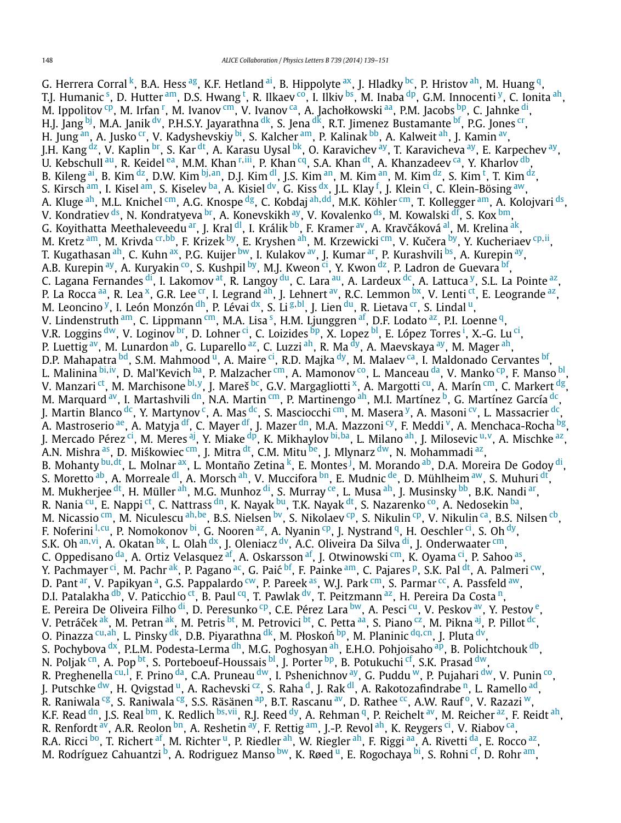G. Herrera Corral [k,](#page-10-0) B.A. Hess  $\frac{dg}{dg}$ , K.F. Hetland  $\frac{di}{dg}$ , B. Hippolyte  $\frac{dx}{dg}$ , J. Hladky  $\frac{bc}{g}$ , P. Hristov  $\frac{dh}{dg}$ , M. Huang q. T.J. Humanic <[s](#page-10-0)up>s</sup>, D. Hu[t](#page-10-0)ter <sup>am</sup>, D.S. Hwang <sup>t</sup>, R. Ilkaev <sup>co</sup>, I. Ilkiv <sup>bs</sup>, M. Inaba <sup>[dp](#page-12-0)</sup>, G.M. Innocenti <sup>y</sup>, C. Ionita <sup>ah</sup>, M. Ippolitov <sup>cp</sup>, M. I[r](#page-10-0)fan <sup>r</sup>, M. Ivanov <sup>cm</sup>, V. Ivanov <sup>ca</sup>, A. Jachołkowski <sup>aa</sup>, P.M. Jacobs <sup>bp</sup>, C. Jahnke <sup>di</sup>, H.J. Jang <sup>bj</sup>, M.A. Janik <sup>[dv](#page-12-0)</sup>, P.H.S.Y. Jayarathna <sup>[dk](#page-12-0)</sup>, S. Jena <sup>dk</sup>, R.T. Jimenez Bustamante <sup>bf</sup>, P.G. Jones <sup>cr</sup>, H. Jung <sup>an</sup>, A. Jusko <sup>cr</sup>, V. Kadyshevskiy <sup>bi</sup>, S. Kalcher <sup>am</sup>, P. Kalinak <sup>bb</sup>, A. Kalweit <sup>ah</sup>, J. Kamin <sup>[av](#page-11-0)</sup>, J.H. Kang [dz,](#page-12-0) V. Kaplin [br,](#page-11-0) S. Kar [dt,](#page-12-0) A. Karasu Uysal [bk,](#page-11-0) O. Karavichev [ay,](#page-11-0) T. Karavicheva ay, E. Karpechev ay, U. Kebschull <sup>au</sup>, R. Keidel <sup>ea</sup>, M.M. Khan <sup>[r](#page-10-0),iii</sup>, P. Khan <sup>cq</sup>, S.A. Khan <sup>dt</sup>, A. Khanzadeev <sup>ca</sup>, Y. Kharlov <sup>db</sup>, B. Kileng <sup>ai</sup>, B. Kim <sup>dz</sup>, D.W. Kim <sup>[bj](#page-11-0), an</sup>, D.J. Kim <sup>dl</sup>, J.S. Kim <sup>an</sup>, M. Kim <sup>an</sup>, M. Kim <sup>dz</sup>, S. Kim <sup>[t](#page-10-0)</sup>, T. Kim <sup>dz</sup>, S. Kirsch <sup>[am](#page-11-0)</sup>, I. Kisel <sup>am</sup>, S. Kiselev <sup>ba</sup>, A. Kisiel <sup>dv</sup>, G. Kiss <sup>dx</sup>, J.L. Klay <sup>[f](#page-10-0)</sup>, J. Klein <sup>ci</sup>, C. Klein-Bösing <sup>aw</sup>, A. Kluge <sup>ah</sup>, M.L. Knichel <sup>cm</sup>, A.G. Knospe <sup>dg</sup>, C. Kobdaj <sup>[ah,](#page-11-0)dd</sup>, M.K. Köhler <sup>cm</sup>, T. Kollegger <sup>am</sup>, A. Kolojvari <sup>ds</sup>, V. Kondratiev <sup>[ds](#page-12-0)</sup>, N. Kondratyeva <sup>br</sup>, A. Konevskikh <sup>ay</sup>, V. Kovalenko <sup>ds</sup>, M. Kowalski <sup>df</sup>, S. Kox <sup>bm</sup>, G. Koyithatta Meethaleveedu <sup>ar</sup>, J. Kral <sup>dl</sup>, I. Králik <sup>bb</sup>, F. Kramer <sup>av</sup>, A. Kravčáková <sup>al</sup>, M. Krelina <sup>ak</sup>, M. Kretz <sup>am</sup>, M. Krivda <sup>[cr](#page-11-0),bb</sup>, F. Krizek <sup>by</sup>, E. Kryshen <sup>ah</sup>, M. Krzewicki <sup>cm</sup>, V. Kučera <sup>by</sup>, Y. Kucheriaev <sup>[cp](#page-11-0),[ii](#page-12-0)</sup>, T. Kugathasan <sup>ah</sup>, C. Kuhn <sup>ax</sup>, P.G. Kuijer <sup>bw</sup>, I. Kulakov <sup>av</sup>, J. Kumar <sup>ar</sup>, P. Kurashvili <sup>bs</sup>, A. Kurepin <sup>[ay](#page-11-0)</sup>, A.B. Kurepin <sup>ay</sup>, A. Kuryakin<sup>co</sup>, S. Kushpil <sup>[by](#page-11-0)</sup>, M.J. Kweon [ci,](#page-11-0) Y. Kwon [dz,](#page-12-0) P. Ladron de Guevara <sup>bf</sup>, C. Lagana Fernandes <sup>di</sup>, I. Lakomov <sup>at</sup>, R. Langoy <sup>du</sup>, C. Lara <sup>[au](#page-11-0)</sup>, A. Lardeux <sup>[dc](#page-12-0)</sup>, A. Lattuca <sup>y</sup>, S.L. La Pointe <sup>[az](#page-11-0)</sup>, P. La Rocca <sup>aa</sup>, R. Lea <sup>x</sup>, G.R. Lee <sup>cr</sup>, I. Legrand <sup>ah</sup>, J. Lehnert <sup>[av](#page-11-0)</sup>, R.C. Lemmon <sup>bx</sup>, V. Lenti <sup>ct</sup>, E. Leogrande <sup>az</sup>, M. Leoncino <sup>y</sup>, I. León Monzón <sup>dh</sup>, P. Lévai <sup>dx</sup>, S. Li <sup>[g](#page-10-0),bl</sup>, J. Lien <sup>du</sup>, R. Lietava <sup>cr</sup>, S. Lindal <sup>u</sup>, V. Linden[s](#page-10-0)truth <sup>am</sup>, C. Lippmann <sup>cm</sup>, M.A. Lisa <sup>s</sup>, H.M. Ljunggren <sup>af</sup>, D.F. Lodato <sup>az</sup>, P.I. Loenne <sup>q</sup>, V.R. Loggins <sup>dw</sup>, V. Loginov <sup>br</sup>, D. Lohner <sup>ci</sup>, C. Loizides <sup>bp</sup>, X. Lopez <sup>[bl](#page-11-0)</sup>, E. López Torres <sup>[i](#page-10-0)</sup>, X.-G. Lu <sup>[ci](#page-11-0)</sup>, P. Luettig [av,](#page-11-0) M. Lunardon [ab,](#page-11-0) G. Luparello [az,](#page-11-0) C. Luzzi [ah,](#page-11-0) R. Ma [dy,](#page-12-0) A. Maevskaya [ay,](#page-11-0) M. Mager ah, D.P. Mahapatra [bd,](#page-11-0) S.M. Mahmood [u,](#page-10-0) A. Maire [ci,](#page-11-0) R.D. Majka [dy,](#page-12-0) M. Malaev [ca,](#page-11-0) I. Maldonado Cervantes [bf,](#page-11-0) L. Malinina <sup>[bi](#page-11-0),iv</sup>, D. Mal'Kevich <sup>ba</sup>, P. Malzacher <sup>cm</sup>, A. Mamonov <sup>co</sup>, L. Manceau <sup>[da](#page-12-0)</sup>, V. Manko <sup>cp</sup>, F. Manso <sup>bl</sup>, V. Manzari <sup>ct</sup>, M. Marchisone <sup>[bl](#page-11-0),y</sup>, J. Mareš <sup>bc</sup>, G.V. Margagliotti <sup>[x](#page-10-0)</sup>, A. Margotti <sup>[cu](#page-11-0)</sup>, A. Marín <sup>cm</sup>, C. Markert <sup>dg</sup>, M. Marquard [av,](#page-11-0) I. Martashvili [dn,](#page-12-0) N.A. Martin [cm,](#page-11-0) P. Martinengo [ah,](#page-11-0) M.I. Martínez [b,](#page-10-0) G. Martínez García [dc,](#page-12-0) J. Martin Blanco <sup>dc</sup>, Y. Martynov<sup>c</sup>, A. Mas <sup>dc</sup>, S. Masciocchi <sup>cm</sup>, M. Masera <sup>y</sup>, A. Masoni <sup>cv</sup>, L. Massacrier <sup>dc</sup>, A. Mastroserio <sup>ae</sup>, A. Matyja <sup>df</sup>, C. Mayer <sup>df</sup>, J. Mazer <sup>dn</sup>, M.A. Mazzoni <sup>cy</sup>, F. Meddi <sup>[v](#page-10-0)</sup>, A. Menchaca-Rocha <sup>bg</sup>, J. Mercado Pérez [ci,](#page-11-0) M. Meres [aj,](#page-11-0) Y. Miake [dp,](#page-12-0) K. Mikhaylov [bi](#page-11-0)*,*[ba,](#page-11-0) L. Milano [ah,](#page-11-0) J. Milosevic [u](#page-10-0)*,*[v,](#page-12-0) A. Mischke [az,](#page-11-0) A.N. Mishra <sup>as</sup>, D. Miśkowiec <sup>cm</sup>, J. Mitra <sup>dt</sup>, C.M. Mitu <sup>be</sup>, J. Mlynarz <sup>dw</sup>, N. Mohammadi <sup>az</sup>, B. Mohanty <sup>[bu](#page-11-0),dt</sup>, L. Molnar <sup>[ax](#page-11-0)</sup>, L. Montaño Zetina <sup>k</sup>, E. Montes <sup>[j](#page-10-0)</sup>, M. Morando <sup>ab</sup>, D.A. Moreira De Godoy <sup>[di](#page-12-0)</sup>, S. Moretto <sup>[ab](#page-11-0)</sup>, A. Morreale <sup>dl</sup>, A. Morsch <sup>ah</sup>, V. Muccifora <sup>bn</sup>, E. Mudnic <sup>de</sup>, D. Mühlheim <sup>aw</sup>, S. Muhuri <sup>dt</sup>, M. Mukherjee <sup>dt</sup>, H. Müller <sup>ah</sup>, M.G. Munhoz <sup>di</sup>, S. Murray <sup>ce</sup>, L. Musa <sup>ah</sup>, J. Musinsky <sup>bb</sup>, B.K. Nandi <sup>ar</sup>, R. Nania <sup>cu</sup>, E. Nappi <sup>ct</sup>, C. Nattrass [dn,](#page-12-0) K. Nayak <sup>bu</sup>, T.K. Nayak <sup>[dt](#page-12-0)</sup>, S. Nazarenko <sup>co</sup>, A. Nedosekin <sup>ba</sup>, M. Nicassio [cm,](#page-11-0) M. Niculescu [ah](#page-11-0), [be,](#page-11-0) B.S. Nielsen by, S. Nikolaev [cp,](#page-11-0) S. Nikulin cp, V. Nikulin <sup>ca</sup>, B.S. Nilsen [cb,](#page-11-0) F. Noferini <sup>I,cu</sup>, P. Nomokonov <sup>bi</sup>, G. Nooren <sup>az</sup>, A. Nyanin <sup>cp</sup>, J. Nystrand <sup>q</sup>, H. Oesch[l](#page-10-0)er <sup>ci</sup>, S. Oh <sup>dy</sup>, S.K. Oh<sup>[an](#page-11-0),[vi](#page-12-0)</sup>, A. Okatan <sup>bk</sup>, L. Olah <sup>dx</sup>, J. Oleniacz <sup>dv</sup>, A.C. Oliveira Da Silva <sup>di</sup>, J. Onderwaater <sup>[cm](#page-11-0)</sup>, C. Oppedisano [da,](#page-12-0) A. Ortiz Velasquez [af,](#page-11-0) A. Oskarsson af, J. Otwinowski [cm](#page-11-0), K. Oyama [ci](#page-11-0), P. Sahoo [as,](#page-11-0) Y. Pachmayer <sup>ci</sup>, M. Pachr <sup>ak</sup>, P. Pagano <sup>ac</sup>, G. Paić <sup>bf</sup>, F. Painke <sup>[am](#page-11-0)</sup>, C. Pajares <sup>p</sup>, S.K. Pal <sup>dt</sup>, A. Palmeri <sup>cw</sup>, D. Pant [ar,](#page-11-0) V. Papikyan [a,](#page-10-0) G.S. Pappalardo [cw,](#page-11-0) P. Pareek [as,](#page-11-0) W.J. Park [cm,](#page-11-0) S. Parmar [cc](#page-11-0), A. Passfeld [aw](#page-11-0), D.I. Patalakha [db,](#page-12-0) V. Paticchio <sup>ct</sup>, B. Paul <sup>cq</sup>, T. Pawlak <sup>dv</sup>, T. Peitzmann <sup>[az](#page-11-0)</sup>, H. Pereira Da Costa<sup>n</sup>, E. Pereira De Oliveira Filho [di,](#page-12-0) D. Peresunko <sup>cp</sup>, C.E. Pérez Lara [bw,](#page-11-0) A. Pesci <sup>cu</sup>, V. Peskov <sup>av</sup>, Y. Pestov <sup>e</sup>, V. Petráček [ak,](#page-11-0) M. Petran ak, M. Petris [bt,](#page-11-0) M. Petrovici bt, C. Petta [aa,](#page-11-0) S. Piano <sup>cz</sup>, M. Pikna [aj,](#page-11-0) P. Pillot <sup>dc</sup>, O. Pinazza <sup>[cu](#page-11-0),ah</sup>, L. Pinsky <sup>dk</sup>, D.B. Piyarathna <sup>dk</sup>, M. Płoskoń <sup>bp</sup>, M. Planinic <sup>[dq](#page-12-0),cn</sup>, J. Pluta <sup>dv</sup>, S. Pochybova <sup>dx</sup>, P.L.M. Podesta-Lerma <sup>[dh](#page-12-0)</sup>, M.G. Poghosyan <sup>ah</sup>, E.H.O. Pohjoisaho <sup>ap</sup>, B. Polichtchouk <sup>db</sup>, N. Poljak <sup>cn</sup>, A. Pop <sup>bt</sup>, S. Porteboeuf-Houssais <sup>bl</sup>, J. Porter <sup>bp</sup>, B. Potukuchi <sup>cf</sup>, S.K. Prasad <sup>dw</sup>, R. Preghenella <sup>[cu](#page-11-0), I</sup>, F. Prino <sup>da</sup>, C.A. Pruneau <sup>dw</sup>, I. Pshenichnov <sup>[ay](#page-11-0)</sup>, G. Puddu <sup>w</sup>, P. Pujahari <sup>dw</sup>, V. Punin <sup>co</sup>, J. Putschke [dw](#page-12-0), H. Qvigstad <sup>u</sup>, A. Rachevski <sup>cz</sup>, S. Raha <sup>d</sup>, J. Rak <sup>dl</sup>, A. Rakotozafindrabe <sup>n</sup>, L. Ramello <sup>ad</sup>, R. Raniwala <sup>cg</sup>, S. Raniwala <sup>cg</sup>, S.S. Räsänen <sup>ap</sup>, B.T. Rascanu [av,](#page-11-0) D. Rathee <sup>cc</sup>, A.W. Rauf <sup>o</sup>, V. Razazi <sup>w</sup>, K.F. Read [dn,](#page-12-0) J.S. Real [bm,](#page-11-0) K. Redlich [bs](#page-11-0), [vii,](#page-12-0) R.J. Reed [dy,](#page-12-0) A. Rehman [q,](#page-10-0) P. Reichelt [av,](#page-11-0) M. Reicher [az,](#page-11-0) F. Reidt [ah](#page-11-0), R. Renfordt [av,](#page-11-0) A.R. Reolon [bn,](#page-11-0) A. Reshetin av, F. Rettig [am,](#page-11-0) J.-P. Revol [ah,](#page-11-0) K. Reygers [ci,](#page-11-0) V. Riabov [ca,](#page-11-0) R.A. Ricci <sup>bo</sup>, T. Richert [af,](#page-11-0) M. Richter <sup>u</sup>, P. Riedler <sup>ah</sup>, W. Riegler <sup>ah</sup>, F. Riggi <sup>aa</sup>, A. Rivetti <sup>da</sup>, E. Rocco <sup>az</sup>, M. Rodríguez Cahuantzi<sup>b</sup>, A. Rodriguez Manso [bw,](#page-11-0) K. Røed <sup>u</sup>, E. Rogochaya <sup>[bi](#page-11-0)</sup>, S. Rohni <sup>cf</sup>, D. Rohr [am,](#page-11-0)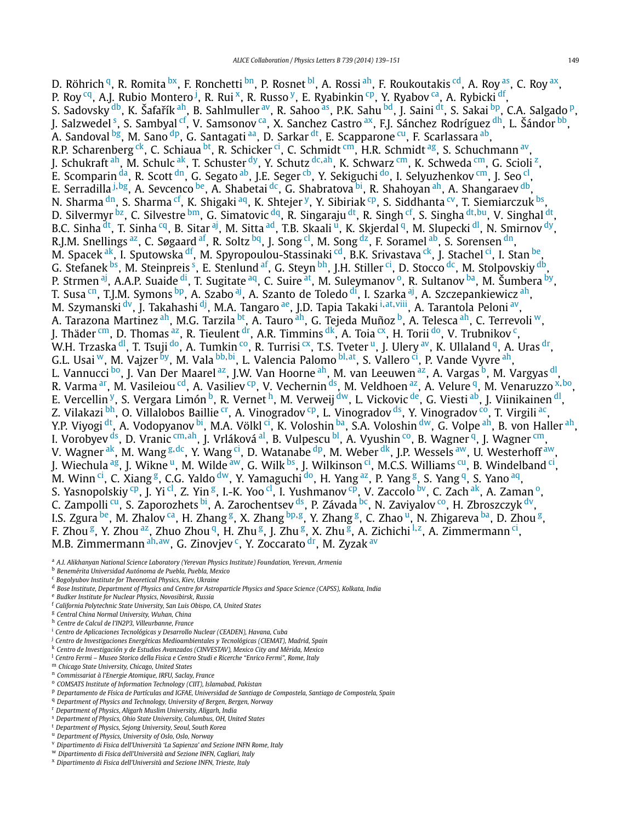<span id="page-10-0"></span>D. Röhrich <sup>q</sup>, R. Romita <sup>bx</sup>, F. Ronchetti <sup>bn</sup>, P. Rosnet <sup>bl</sup>, A. Rossi <sup>ah</sup>, F. Roukoutakis <sup>cd</sup>, A. Roy <sup>as</sup>, C. Roy <sup>ax</sup>, P. Roy <sup>cq</sup>, A.J. Rubio Montero <sup>j</sup>, R. Rui <sup>x</sup>, R. Russo <sup>y</sup>, E. Ryabinkin <sup>cp</sup>, Y. Ryabov <sup>ca</sup>, A. Rybicki <sup>df</sup>, S. Sadovsky <sup>db</sup>, K. Šafařík<sup>ah</sup>, B. Sahlmuller <sup>[av](#page-11-0)</sup>, R. Sahoo <sup>[as](#page-11-0)</sup>, P.K. Sahu <sup>bd</sup>, J. Saini <sup>dt</sup>, S. Sakai <sup>bp</sup>, C.A. Salgado <sup>p</sup>, J. Salzwedel <sup>s</sup>, S. Sambyal <sup>cf</sup>, V. Samsonov <sup>ca</sup>, X. Sanchez Castro <sup>ax</sup>, F.J. Sánchez Rodríguez <sup>dh</sup>, L. Šándor <sup>bb</sup>, A. Sandoval [bg,](#page-11-0) M. Sano [dp](#page-12-0), G. Santagati [aa,](#page-11-0) D. Sarkar [dt,](#page-12-0) E. Scapparone [cu,](#page-11-0) F. Scarlassara [ab,](#page-11-0) R.P. Scharenberg <sup>ck</sup>, C. Schiaua [bt](#page-11-0), R. Schicker [ci,](#page-11-0) C. Schmidt [cm,](#page-11-0) H.R. Schmidt <sup>ag</sup>, S. Schuchmann av J. Schukraft <sup>ah</sup>, M. Schulc <sup>[ak](#page-11-0)</sup>, T. Schuster <sup>[dy](#page-12-0)</sup>, Y. Schutz <sup>[dc](#page-12-0), ah</sup>, K. Schwarz <sup>[cm](#page-11-0)</sup>, K. Schweda <sup>cm</sup>, G. Scioli <sup>[z](#page-11-0)</sup>, E. Scomparin <sup>da</sup>, R. Scott <sup>dn</sup>, G. Segato <sup>ab</sup>, J.E. Seger <sup>cb</sup>, Y. Sekiguchi <sup>do</sup>, I. Selyuzhenkov <sup>cm</sup>, J. Seo <sup>cl</sup>, E. Serradilla <sup>j</sup>*,*[bg](#page-11-0), A. Sevcenco [be,](#page-11-0) A. Shabetai [dc,](#page-12-0) G. Shabratova [bi,](#page-11-0) R. Shahoyan [ah,](#page-11-0) A. Shangaraev [db,](#page-12-0) N. Sharma <sup>dn</sup>, S. Sharma <sup>cf</sup>, K. Shigaki <sup>aq</sup>, K. Shtejer <sup>y</sup>, Y. Sibiriak <sup>[cp](#page-11-0)</sup>, S. Siddhanta <sup>cv</sup>, T. Siemiarczuk <sup>bs</sup>, D. Silvermyr <sup>bz</sup>, C. Silvestre <sup>[bm](#page-11-0)</sup>, G. Simatovic <sup>dq</sup>, R. Singaraju <sup>dt</sup>, R. Singh <sup>cf</sup>, S. Singha <sup>[dt,](#page-12-0) bu</sup>, V. Singhal <sup>[dt](#page-12-0)</sup>, B.C. Sinha [dt,](#page-12-0) T. Sinha <sup>cq</sup>, B. Sitar [aj](#page-11-0), M. Sitta [ad,](#page-11-0) T.B. Skaali <sup>u</sup>, K. Skjerdal q, M. Slupecki [dl,](#page-12-0) N. Smirnov [dy,](#page-12-0) R.J.M. Snellings <sup>az</sup>, C. Søgaard <sup>af</sup>, R. Soltz <sup>bq</sup>, J. Song <sup>cl</sup>, M. Song <sup>dz</sup>, F. Soramel <sup>ab</sup>, S. Sorensen [dn,](#page-12-0) M. Spacek <sup>ak</sup>, I. Sputowska <sup>df</sup>, M. Spyropoulou-Stassinaki <sup>[cd](#page-11-0)</sup>, B.K. Srivastava <sup>ck</sup>, J. Stachel <sup>ci</sup>, I. Stan <sup>be</sup>, G. Stefanek <sup>bs</sup>, M. Steinpreis <sup>s</sup>, E. Stenlund <sup>af</sup>, G. Steyn <sup>bh</sup>, J.H. Stiller <sup>ci</sup>, D. Stocco <sup>dc</sup>, M. Stolpovskiy <sup>db</sup>, P. Strmen [aj,](#page-11-0) A.A.P. Suaide [di,](#page-12-0) T. Sugitate [aq,](#page-11-0) C. Suire [at](#page-11-0), M. Suleymanov<sup>o</sup>, R. Sultanov <sup>ba</sup>, M. Šumbera <sup>by</sup>, T. Susa <sup>cn</sup>, T.J.M. Symons <sup>bp</sup>, A. Szabo [aj,](#page-11-0) A. Szanto de Toledo <sup>di</sup>, I. Szarka aj, A. Szczepankiewicz <sup>ah</sup>, M. Szymanski [dv,](#page-12-0) J. Takahashi [dj,](#page-12-0) M.A. Tangaro [ae,](#page-11-0) J.D. Tapia Takaki <sup>i</sup>*,*[at](#page-11-0)*,*[viii,](#page-12-0) A. Tarantola Peloni [av,](#page-11-0) A. Tarazona Martinez [ah,](#page-11-0) M.G. Tarzila [bt,](#page-11-0) A. Tauro ah, G. Tejeda Muñoz b, A. Telesca ah, C. Terrevoli <sup>w</sup>, J. Thäder <sup>cm</sup>, D. Thomas <sup>az</sup>, R. Tieulent <sup>dr</sup>, A.R. Timmins <sup>dk</sup>, A. Toia <sup>cx</sup>, H. Torii <sup>do</sup>, V. Trubnikov <sup>c</sup>, W.H. Trzaska <sup>[dl](#page-12-0)</sup>, T. Tsuji <sup>do</sup>, A. Tumkin <sup>co</sup>, R. Turrisi <sup>cx</sup>, T.S. Tveter <sup>u</sup>, J. Ulery <sup>[av](#page-11-0)</sup>, K. Ullaland <sup>q</sup>, A. Uras <sup>dr</sup>, G.L. Usai <sup>w</sup>, M. Vajzer <sup>by</sup>, M. Vala <sup>[bb](#page-11-0),[bi](#page-11-0)</sup>, L. Valencia Palomo <sup>[bl](#page-11-0),at</sup>, S. Vallero <sup>ci</sup>, P. Vande Vyvre <sup>ah</sup>, L. Vannucci <sup>bo</sup>, J. Van Der Maarel <sup>az</sup>, J.W. Van Hoorne <sup>[ah](#page-11-0)</sup>, M. van Leeuwen <sup>az</sup>, A. Vargas <sup>b</sup>, M. Vargyas <sup>dl</sup>, R. Varma <sup>ar</sup>, M. Vasileiou <sup>cd</sup>, A. Vasiliev <sup>cp</sup>, V. Vechernin <sup>ds</sup>, M. Veldhoen <sup>az</sup>, A. Velure <sup>q</sup>, M. Venaruzzo <sup>x,bo</sup>, E. Vercellin <sup>y</sup>, S. Vergara Limón <sup>b</sup>, R. Vernet <sup>h</sup>, M. Verweij <sup>dw</sup>, L. Vickovic <sup>de</sup>, G. Viesti <sup>ab</sup>, J. Viinikainen <sup>dl</sup>, Z. Vilakazi <sup>bh</sup>, O. Villalobos Baillie <sup>cr</sup>, A. Vinogradov <sup>cp</sup>, L. Vinogradov <sup>[ds](#page-12-0)</sup>, Y. Vinogradov <sup>[co](#page-11-0)</sup>, T. Virgili <sup>[ac](#page-11-0)</sup>, Y.P. Viyogi <sup>dt</sup>, A. Vodopyanov <sup>bi</sup>, M.A. Völkl <sup>ci</sup>, K. Voloshin <sup>ba</sup>, S.A. Voloshin <sup>dw</sup>, G. Volpe <sup>ah</sup>, B. von Haller <sup>ah</sup>, I. Vorobyev <sup>ds</sup>, D. Vranic <sup>[cm](#page-11-0),[ah](#page-11-0)</sup>, J. Vrláková <sup>al</sup>, B. Vulpescu <sup>bl</sup>, A. Vyushin <sup>co</sup>, B. Wagner <sup>q</sup>, J. Wagner <sup>cm</sup>, V. Wagner <sup>ak</sup>, M. Wang <sup>g,dc</sup>, Y. Wang <sup>ci</sup>, D. Watanabe <sup>dp</sup>, M. Weber <sup>dk</sup>, J.P. Wessels <sup>[aw](#page-11-0)</sup>, U. Westerhoff <sup>aw</sup>, J. Wiechula [ag,](#page-11-0) J. Wikne u, M. Wilde [aw](#page-11-0), G. Wilk [bs,](#page-11-0) J. Wilkinson [ci,](#page-11-0) M.C.S. Williams [cu,](#page-11-0) B. Windelband ci, M. Winn  $\text{ci}$ , C. Xiang  $\text{g}$ , C.G. Yaldo  $\text{dw}$ , Y. Yamaguchi  $\text{do}$ , H. Yang  $\text{az}$ , P. Yang  $\text{g}$ , S. Yang  $\text{q}$ , S. Yano  $\text{aq}$ , S. Yasnopolskiy <sup>cp</sup>, J. Yi [cl,](#page-11-0) Z. Yin g, I.-K. Yoo cl, I. Yushmanov <sup>cp</sup>, V. Zaccolo <sup>bv</sup>, C. Zach <sup>ak</sup>, A. Zaman <sup>o</sup>, C. Zampolli <sup>cu</sup>, S. Zaporozhets <sup>bi</sup>, A. Zarochentsev [ds,](#page-12-0) P. Závada [bc,](#page-11-0) N. Zaviyalov <sup>co</sup>, H. Zbroszczyk [dv](#page-12-0), I.S. Zgura <sup>be</sup>, M. Zhalov <sup>ca</sup>, H. Zhang <sup>g</sup>, X. Zhang <sup>[bp](#page-11-0), g</sup>, Y. Zhang <sup>g</sup>, C. Zhao <sup>u</sup>, N. Zhigareva <sup>ba</sup>, D. Zhou <sup>g</sup>, F. Zhou <sup>g</sup>, Y. Zhou <sup>az</sup>, Zhuo Zhou <sup>q</sup>, H. Zhu <sup>g</sup>, J. Zhu <sup>g</sup>, X. Zhu <sup>g</sup>, A. Zichichi <sup>1, z</sup>, A. Zimmermann [ci,](#page-11-0) M.B. Zimmermann [ah](#page-11-0), [aw,](#page-11-0) G. Zinovjev<sup>c</sup>, Y. Zoccarato [dr,](#page-12-0) M. Zyzak [av](#page-11-0)

<sup>a</sup> *A.I. Alikhanyan National Science Laboratory (Yerevan Physics Institute) Foundation, Yerevan, Armenia*

- <sup>g</sup> *Central China Normal University, Wuhan, China*
- <sup>h</sup> *Centre de Calcul de l'IN2P3, Villeurbanne, France*

- <sup>j</sup> *Centro de Investigaciones Energéticas Medioambientales y Tecnológicas (CIEMAT), Madrid, Spain*
- <sup>k</sup> *Centro de Investigación y de Estudios Avanzados (CINVESTAV), Mexico City and Mérida, Mexico*
- <sup>l</sup> *Centro Fermi – Museo Storico della Fisica e Centro Studi e Ricerche "Enrico Fermi", Rome, Italy*
- <sup>m</sup> *Chicago State University, Chicago, United States*
- <sup>n</sup> *Commissariat à l'Energie Atomique, IRFU, Saclay, France*
- <sup>o</sup> *COMSATS Institute of Information Technology (CIIT), Islamabad, Pakistan*
- <sup>p</sup> Departamento de Física de Partículas and IGFAE, Universidad de Santiago de Compostela, Santiago de Compostela, Spain
- <sup>q</sup> *Department of Physics and Technology, University of Bergen, Bergen, Norway*
- <sup>r</sup> *Department of Physics, Aligarh Muslim University, Aligarh, India*
- <sup>s</sup> *Department of Physics, Ohio State University, Columbus, OH, United States*
- <sup>t</sup> *Department of Physics, Sejong University, Seoul, South Korea*
- <sup>u</sup> *Department of Physics, University of Oslo, Oslo, Norway*
- <sup>v</sup> *Dipartimento di Fisica dell'Università 'La Sapienza' and Sezione INFN Rome, Italy*
- <sup>w</sup> *Dipartimento di Fisica dell'Università and Sezione INFN, Cagliari, Italy*
- <sup>x</sup> *Dipartimento di Fisica dell'Università and Sezione INFN, Trieste, Italy*

<sup>b</sup> *Benemérita Universidad Autónoma de Puebla, Puebla, Mexico*

<sup>c</sup> *Bogolyubov Institute for Theoretical Physics, Kiev, Ukraine*

<sup>&</sup>lt;sup>d</sup> Bose Institute, Department of Physics and Centre for Astroparticle Physics and Space Science (CAPSS), Kolkata, India

<sup>e</sup> *Budker Institute for Nuclear Physics, Novosibirsk, Russia*

<sup>f</sup> *California Polytechnic State University, San Luis Obispo, CA, United States*

<sup>i</sup> *Centro de Aplicaciones Tecnológicas y Desarrollo Nuclear (CEADEN), Havana, Cuba*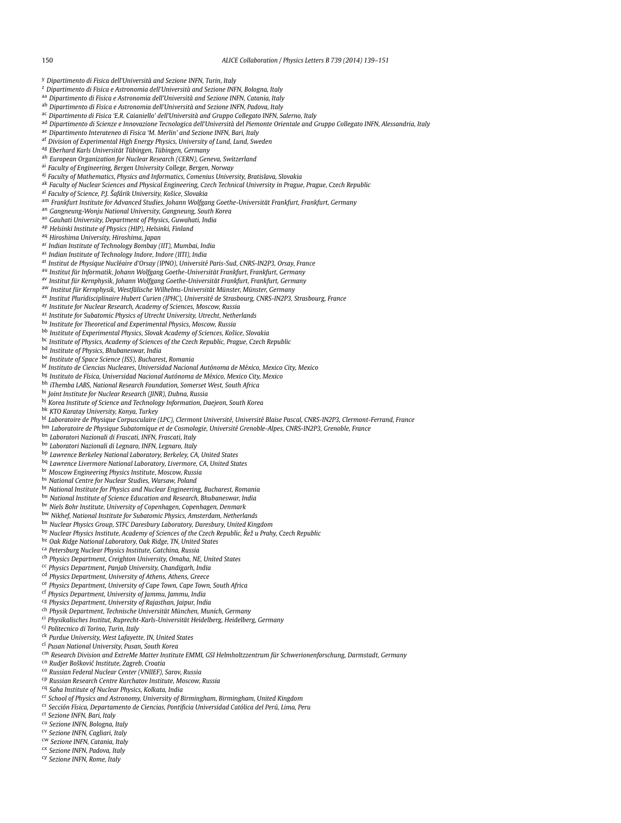<span id="page-11-0"></span><sup>y</sup> *Dipartimento di Fisica dell'Università and Sezione INFN, Turin, Italy*

- <sup>z</sup> *Dipartimento di Fisica e Astronomia dell'Università and Sezione INFN, Bologna, Italy*
- aa *Dipartimento di Fisica e Astronomia dell'Università and Sezione INFN, Catania, Italy*
- ab *Dipartimento di Fisica e Astronomia dell'Università and Sezione INFN, Padova, Italy*
- ac *Dipartimento di Fisica 'E.R. Caianiello' dell'Università and Gruppo Collegato INFN, Salerno, Italy*
- ad Dipartimento di Scienze e Innovazione Tecnologica dell'Università del Piemonte Orientale and Gruppo Collegato INFN, Alessandria, Italy
- ae *Dipartimento Interateneo di Fisica 'M. Merlin' and Sezione INFN, Bari, Italy*
- af *Division of Experimental High Energy Physics, University of Lund, Lund, Sweden*
- ag *Eberhard Karls Universität Tübingen, Tübingen, Germany*
- ah *European Organization for Nuclear Research (CERN), Geneva, Switzerland*
- ai *Faculty of Engineering, Bergen University College, Bergen, Norway*
- aj *Faculty of Mathematics, Physics and Informatics, Comenius University, Bratislava, Slovakia*
- ak *Faculty of Nuclear Sciences and Physical Engineering, Czech Technical University in Prague, Prague, Czech Republic*
- al *Faculty of Science, P.J. Šafárik University, Košice, Slovakia*
- am *Frankfurt Institute for Advanced Studies, Johann Wolfgang Goethe-Universität Frankfurt, Frankfurt, Germany*
- an *Gangneung-Wonju National University, Gangneung, South Korea*
- ao *Gauhati University, Department of Physics, Guwahati, India*
- ap *Helsinki Institute of Physics (HIP), Helsinki, Finland*
- aq *Hiroshima University, Hiroshima, Japan*
- ar *Indian Institute of Technology Bombay (IIT), Mumbai, India*
- as *Indian Institute of Technology Indore, Indore (IITI), India*
- at *Institut de Physique Nucléaire d'Orsay (IPNO), Université Paris-Sud, CNRS-IN2P3, Orsay, France*
- au *Institut für Informatik, Johann Wolfgang Goethe-Universität Frankfurt, Frankfurt, Germany*
- av *Institut für Kernphysik, Johann Wolfgang Goethe-Universität Frankfurt, Frankfurt, Germany*
- aw *Institut für Kernphysik, Westfälische Wilhelms-Universität Münster, Münster, Germany*
- ax *Institut Pluridisciplinaire Hubert Curien (IPHC), Université de Strasbourg, CNRS-IN2P3, Strasbourg, France*
- ay *Institute for Nuclear Research, Academy of Sciences, Moscow, Russia*
- az *Institute for Subatomic Physics of Utrecht University, Utrecht, Netherlands*
- ba *Institute for Theoretical and Experimental Physics, Moscow, Russia*
- bb *Institute of Experimental Physics, Slovak Academy of Sciences, Košice, Slovakia*
- bc *Institute of Physics, Academy of Sciences of the Czech Republic, Prague, Czech Republic*
- bd *Institute of Physics, Bhubaneswar, India*
- be *Institute of Space Science (ISS), Bucharest, Romania*
- bf *Instituto de Ciencias Nucleares, Universidad Nacional Autónoma de México, Mexico City, Mexico*
- bg *Instituto de Física, Universidad Nacional Autónoma de México, Mexico City, Mexico*
- bh *iThemba LABS, National Research Foundation, Somerset West, South Africa*
- bi *Joint Institute for Nuclear Research (JINR), Dubna, Russia*
- bj *Korea Institute of Science and Technology Information, Daejeon, South Korea*
- bk *KTO Karatay University, Konya, Turkey*
- bl *Laboratoire de Physique Corpusculaire (LPC), Clermont Université, Université Blaise Pascal, CNRS-IN2P3, Clermont-Ferrand, France*
- bm *Laboratoire de Physique Subatomique et de Cosmologie, Université Grenoble-Alpes, CNRS-IN2P3, Grenoble, France*
- bn *Laboratori Nazionali di Frascati, INFN, Frascati, Italy*
- bo *Laboratori Nazionali di Legnaro, INFN, Legnaro, Italy*
- bp *Lawrence Berkeley National Laboratory, Berkeley, CA, United States*
- bq *Lawrence Livermore National Laboratory, Livermore, CA, United States*
- br *Moscow Engineering Physics Institute, Moscow, Russia*
- bs *National Centre for Nuclear Studies, Warsaw, Poland*
- bt *National Institute for Physics and Nuclear Engineering, Bucharest, Romania*
- bu *National Institute of Science Education and Research, Bhubaneswar, India*
- bv *Niels Bohr Institute, University of Copenhagen, Copenhagen, Denmark*
- bw *Nikhef, National Institute for Subatomic Physics, Amsterdam, Netherlands*
- bx *Nuclear Physics Group, STFC Daresbury Laboratory, Daresbury, United Kingdom*
- by *Nuclear Physics Institute, Academy of Sciences of the Czech Republic, Rež ˇ u Prahy, Czech Republic*
- bz *Oak Ridge National Laboratory, Oak Ridge, TN, United States*
- ca *Petersburg Nuclear Physics Institute, Gatchina, Russia*
- 
- cb *Physics Department, Creighton University, Omaha, NE, United States*
- cc *Physics Department, Panjab University, Chandigarh, India*
- cd *Physics Department, University of Athens, Athens, Greece*
- ce *Physics Department, University of Cape Town, Cape Town, South Africa*
- cf *Physics Department, University of Jammu, Jammu, India*
- cg *Physics Department, University of Rajasthan, Jaipur, India*
- ch *Physik Department, Technische Universität München, Munich, Germany*
- ci *Physikalisches Institut, Ruprecht-Karls-Universität Heidelberg, Heidelberg, Germany*
- cj *Politecnico di Torino, Turin, Italy*
- ck *Purdue University, West Lafayette, IN, United States*
- cl *Pusan National University, Pusan, South Korea*
- cm *Research Division and ExtreMe Matter Institute EMMI, GSI Helmholtzzentrum für Schwerionenforschung, Darmstadt, Germany*
- cn *Rudjer Boškovi´c Institute, Zagreb, Croatia*
- co *Russian Federal Nuclear Center (VNIIEF), Sarov, Russia*
- cp *Russian Research Centre Kurchatov Institute, Moscow, Russia*
- cq *Saha Institute of Nuclear Physics, Kolkata, India*
- cr *School of Physics and Astronomy, University of Birmingham, Birmingham, United Kingdom*
- cs *Sección Física, Departamento de Ciencias, Pontificia Universidad Católica del Perú, Lima, Peru*
- ct *Sezione INFN, Bari, Italy*
- cu *Sezione INFN, Bologna, Italy*
- cv *Sezione INFN, Cagliari, Italy*
- cw *Sezione INFN, Catania, Italy*
- cx *Sezione INFN, Padova, Italy*
- cy *Sezione INFN, Rome, Italy*